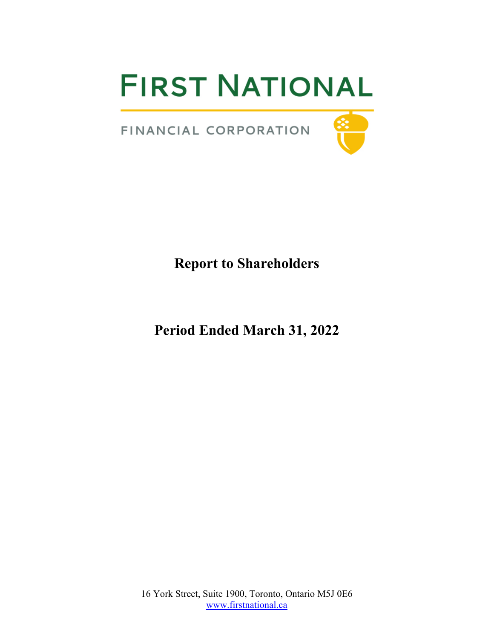# **FIRST NATIONAL**

FINANCIAL CORPORATION



## **Report to Shareholders**

**Period Ended March 31, 2022**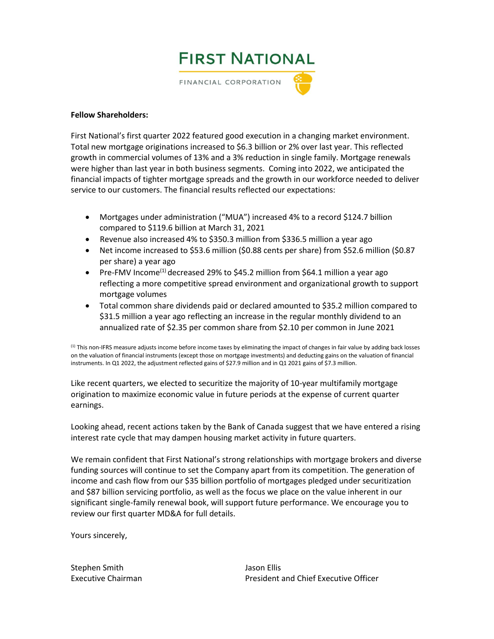

#### **Fellow Shareholders:**

First National's first quarter 2022 featured good execution in a changing market environment. Total new mortgage originations increased to \$6.3 billion or 2% over last year. This reflected growth in commercial volumes of 13% and a 3% reduction in single family. Mortgage renewals were higher than last year in both business segments. Coming into 2022, we anticipated the financial impacts of tighter mortgage spreads and the growth in our workforce needed to deliver service to our customers. The financial results reflected our expectations:

- Mortgages under administration ("MUA") increased 4% to a record \$124.7 billion compared to \$119.6 billion at March 31, 2021
- Revenue also increased 4% to \$350.3 million from \$336.5 million a year ago
- Net income increased to \$53.6 million (\$0.88 cents per share) from \$52.6 million (\$0.87 per share) a year ago
- Pre-FMV Income<sup>(1)</sup> decreased 29% to \$45.2 million from \$64.1 million a year ago reflecting a more competitive spread environment and organizational growth to support mortgage volumes
- Total common share dividends paid or declared amounted to \$35.2 million compared to \$31.5 million a year ago reflecting an increase in the regular monthly dividend to an annualized rate of \$2.35 per common share from \$2.10 per common in June 2021

 $<sup>(1)</sup>$  This non-IFRS measure adjusts income before income taxes by eliminating the impact of changes in fair value by adding back losses</sup> on the valuation of financial instruments (except those on mortgage investments) and deducting gains on the valuation of financial instruments. In Q1 2022, the adjustment reflected gains of \$27.9 million and in Q1 2021 gains of \$7.3 million.

Like recent quarters, we elected to securitize the majority of 10-year multifamily mortgage origination to maximize economic value in future periods at the expense of current quarter earnings.

Looking ahead, recent actions taken by the Bank of Canada suggest that we have entered a rising interest rate cycle that may dampen housing market activity in future quarters.

We remain confident that First National's strong relationships with mortgage brokers and diverse funding sources will continue to set the Company apart from its competition. The generation of income and cash flow from our \$35 billion portfolio of mortgages pledged under securitization and \$87 billion servicing portfolio, as well as the focus we place on the value inherent in our significant single-family renewal book, will support future performance. We encourage you to review our first quarter MD&A for full details.

Yours sincerely,

Stephen Smith Jason Ellis

Executive Chairman **President and Chief Executive Officer** President and Chief Executive Officer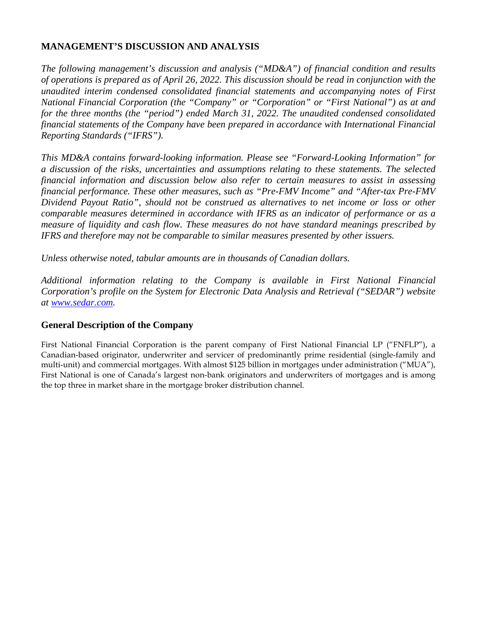## **MANAGEMENT'S DISCUSSION AND ANALYSIS**

*The following management's discussion and analysis ("MD&A") of financial condition and results of operations is prepared as of April 26, 2022. This discussion should be read in conjunction with the unaudited interim condensed consolidated financial statements and accompanying notes of First National Financial Corporation (the "Company" or "Corporation" or "First National") as at and for the three months (the "period") ended March 31, 2022. The unaudited condensed consolidated financial statements of the Company have been prepared in accordance with International Financial Reporting Standards ("IFRS").*

*This MD&A contains forward-looking information. Please see "Forward-Looking Information" for a discussion of the risks, uncertainties and assumptions relating to these statements. The selected financial information and discussion below also refer to certain measures to assist in assessing financial performance. These other measures, such as "Pre-FMV Income" and "After-tax Pre-FMV Dividend Payout Ratio", should not be construed as alternatives to net income or loss or other comparable measures determined in accordance with IFRS as an indicator of performance or as a measure of liquidity and cash flow. These measures do not have standard meanings prescribed by IFRS and therefore may not be comparable to similar measures presented by other issuers.*

*Unless otherwise noted, tabular amounts are in thousands of Canadian dollars.*

*Additional information relating to the Company is available in First National Financial Corporation's profile on the System for Electronic Data Analysis and Retrieval ("SEDAR") website at [www.sedar.com.](http://www.sedar.com/)*

## **General Description of the Company**

First National Financial Corporation is the parent company of First National Financial LP ("FNFLP"), a Canadian-based originator, underwriter and servicer of predominantly prime residential (single-family and multi-unit) and commercial mortgages. With almost \$125 billion in mortgages under administration ("MUA"), First National is one of Canada's largest non-bank originators and underwriters of mortgages and is among the top three in market share in the mortgage broker distribution channel.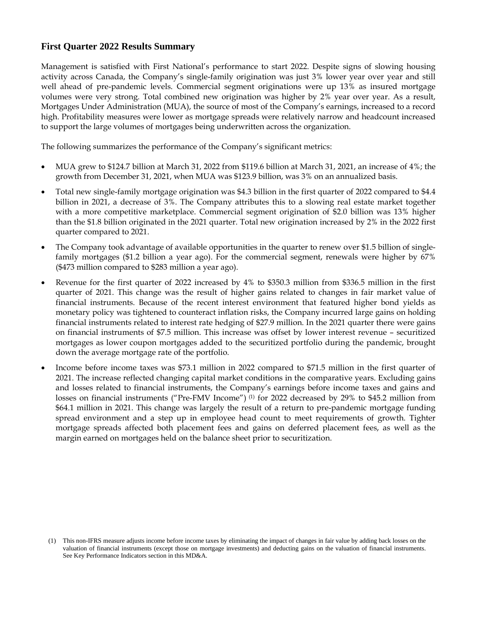## **First Quarter 2022 Results Summary**

Management is satisfied with First National's performance to start 2022. Despite signs of slowing housing activity across Canada, the Company's single-family origination was just 3% lower year over year and still well ahead of pre-pandemic levels. Commercial segment originations were up 13% as insured mortgage volumes were very strong. Total combined new origination was higher by 2% year over year. As a result, Mortgages Under Administration (MUA), the source of most of the Company's earnings, increased to a record high. Profitability measures were lower as mortgage spreads were relatively narrow and headcount increased to support the large volumes of mortgages being underwritten across the organization.

The following summarizes the performance of the Company's significant metrics:

- MUA grew to \$124.7 billion at March 31, 2022 from \$119.6 billion at March 31, 2021, an increase of 4%; the growth from December 31, 2021, when MUA was \$123.9 billion, was 3% on an annualized basis.
- Total new single-family mortgage origination was \$4.3 billion in the first quarter of 2022 compared to \$4.4 billion in 2021, a decrease of 3%. The Company attributes this to a slowing real estate market together with a more competitive marketplace. Commercial segment origination of \$2.0 billion was 13% higher than the \$1.8 billion originated in the 2021 quarter. Total new origination increased by 2% in the 2022 first quarter compared to 2021.
- The Company took advantage of available opportunities in the quarter to renew over \$1.5 billion of singlefamily mortgages (\$1.2 billion a year ago). For the commercial segment, renewals were higher by 67% (\$473 million compared to \$283 million a year ago).
- Revenue for the first quarter of 2022 increased by 4% to \$350.3 million from \$336.5 million in the first quarter of 2021. This change was the result of higher gains related to changes in fair market value of financial instruments. Because of the recent interest environment that featured higher bond yields as monetary policy was tightened to counteract inflation risks, the Company incurred large gains on holding financial instruments related to interest rate hedging of \$27.9 million. In the 2021 quarter there were gains on financial instruments of \$7.5 million. This increase was offset by lower interest revenue – securitized mortgages as lower coupon mortgages added to the securitized portfolio during the pandemic, brought down the average mortgage rate of the portfolio.
- Income before income taxes was \$73.1 million in 2022 compared to \$71.5 million in the first quarter of 2021. The increase reflected changing capital market conditions in the comparative years. Excluding gains and losses related to financial instruments, the Company's earnings before income taxes and gains and losses on financial instruments ("Pre-FMV Income") <sup>(1)</sup> for 2022 decreased by 29% to \$45.2 million from \$64.1 million in 2021. This change was largely the result of a return to pre-pandemic mortgage funding spread environment and a step up in employee head count to meet requirements of growth. Tighter mortgage spreads affected both placement fees and gains on deferred placement fees, as well as the margin earned on mortgages held on the balance sheet prior to securitization.

<sup>(1)</sup> This non-IFRS measure adjusts income before income taxes by eliminating the impact of changes in fair value by adding back losses on the valuation of financial instruments (except those on mortgage investments) and deducting gains on the valuation of financial instruments. See Key Performance Indicators section in this MD&A.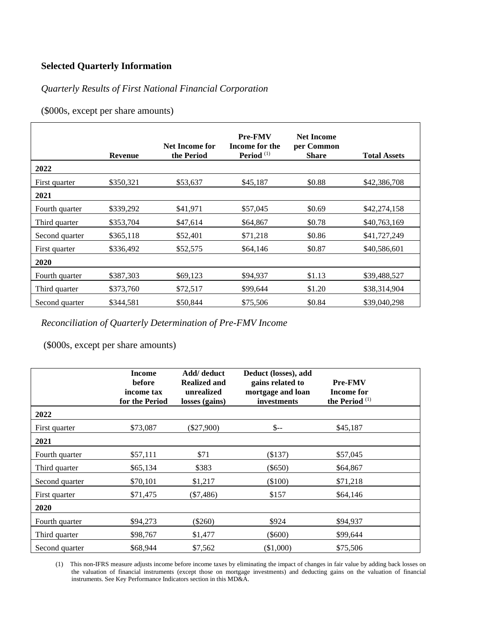## **Selected Quarterly Information**

## *Quarterly Results of First National Financial Corporation*

(\$000s, except per share amounts)

|                | <b>Revenue</b> | Net Income for<br>the Period | <b>Pre-FMV</b><br>Income for the<br>Period $(1)$ | <b>Net Income</b><br>per Common<br><b>Share</b> | <b>Total Assets</b> |
|----------------|----------------|------------------------------|--------------------------------------------------|-------------------------------------------------|---------------------|
| 2022           |                |                              |                                                  |                                                 |                     |
| First quarter  | \$350,321      | \$53,637                     | \$45,187                                         | \$0.88                                          | \$42,386,708        |
| 2021           |                |                              |                                                  |                                                 |                     |
| Fourth quarter | \$339,292      | \$41,971                     | \$57,045                                         | \$0.69                                          | \$42,274,158        |
| Third quarter  | \$353,704      | \$47,614                     | \$64,867                                         | \$0.78                                          | \$40,763,169        |
| Second quarter | \$365,118      | \$52,401                     | \$71,218                                         | \$0.86                                          | \$41,727,249        |
| First quarter  | \$336,492      | \$52,575                     | \$64,146                                         | \$0.87                                          | \$40,586,601        |
| 2020           |                |                              |                                                  |                                                 |                     |
| Fourth quarter | \$387,303      | \$69,123                     | \$94,937                                         | \$1.13                                          | \$39,488,527        |
| Third quarter  | \$373,760      | \$72,517                     | \$99,644                                         | \$1.20                                          | \$38,314,904        |
| Second quarter | \$344,581      | \$50,844                     | \$75,506                                         | \$0.84                                          | \$39,040,298        |

*Reconciliation of Quarterly Determination of Pre-FMV Income*

(\$000s, except per share amounts)

|                | <b>Income</b><br><b>before</b><br>income tax<br>for the Period | Add/ deduct<br><b>Realized and</b><br>unrealized<br>losses (gains) | Deduct (losses), add<br>gains related to<br>mortgage and loan<br>investments | <b>Pre-FMV</b><br><b>Income for</b><br>the Period $(1)$ |
|----------------|----------------------------------------------------------------|--------------------------------------------------------------------|------------------------------------------------------------------------------|---------------------------------------------------------|
| 2022           |                                                                |                                                                    |                                                                              |                                                         |
| First quarter  | \$73,087                                                       | $(\$27,900)$                                                       | $S-$                                                                         | \$45,187                                                |
| 2021           |                                                                |                                                                    |                                                                              |                                                         |
| Fourth quarter | \$57,111                                                       | \$71                                                               | (\$137)                                                                      | \$57,045                                                |
| Third quarter  | \$65,134                                                       | \$383                                                              | $(\$650)$                                                                    | \$64,867                                                |
| Second quarter | \$70,101                                                       | \$1,217                                                            | $(\$100)$                                                                    | \$71,218                                                |
| First quarter  | \$71,475                                                       | $(\$7,486)$                                                        | \$157                                                                        | \$64,146                                                |
| 2020           |                                                                |                                                                    |                                                                              |                                                         |
| Fourth quarter | \$94,273                                                       | $(\$260)$                                                          | \$924                                                                        | \$94,937                                                |
| Third quarter  | \$98,767                                                       | \$1,477                                                            | $(\$600)$                                                                    | \$99,644                                                |
| Second quarter | \$68,944                                                       | \$7,562                                                            | (\$1,000)                                                                    | \$75,506                                                |

(1) This non-IFRS measure adjusts income before income taxes by eliminating the impact of changes in fair value by adding back losses on the valuation of financial instruments (except those on mortgage investments) and deducting gains on the valuation of financial instruments. See Key Performance Indicators section in this MD&A.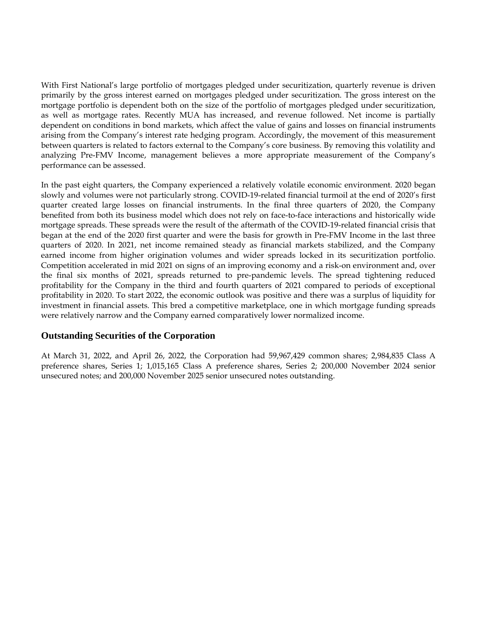With First National's large portfolio of mortgages pledged under securitization, quarterly revenue is driven primarily by the gross interest earned on mortgages pledged under securitization. The gross interest on the mortgage portfolio is dependent both on the size of the portfolio of mortgages pledged under securitization, as well as mortgage rates. Recently MUA has increased, and revenue followed. Net income is partially dependent on conditions in bond markets, which affect the value of gains and losses on financial instruments arising from the Company's interest rate hedging program. Accordingly, the movement of this measurement between quarters is related to factors external to the Company's core business. By removing this volatility and analyzing Pre-FMV Income, management believes a more appropriate measurement of the Company's performance can be assessed.

In the past eight quarters, the Company experienced a relatively volatile economic environment. 2020 began slowly and volumes were not particularly strong. COVID-19-related financial turmoil at the end of 2020's first quarter created large losses on financial instruments. In the final three quarters of 2020, the Company benefited from both its business model which does not rely on face-to-face interactions and historically wide mortgage spreads. These spreads were the result of the aftermath of the COVID-19-related financial crisis that began at the end of the 2020 first quarter and were the basis for growth in Pre-FMV Income in the last three quarters of 2020. In 2021, net income remained steady as financial markets stabilized, and the Company earned income from higher origination volumes and wider spreads locked in its securitization portfolio. Competition accelerated in mid 2021 on signs of an improving economy and a risk-on environment and, over the final six months of 2021, spreads returned to pre-pandemic levels. The spread tightening reduced profitability for the Company in the third and fourth quarters of 2021 compared to periods of exceptional profitability in 2020. To start 2022, the economic outlook was positive and there was a surplus of liquidity for investment in financial assets. This bred a competitive marketplace, one in which mortgage funding spreads were relatively narrow and the Company earned comparatively lower normalized income.

## **Outstanding Securities of the Corporation**

At March 31, 2022, and April 26, 2022, the Corporation had 59,967,429 common shares; 2,984,835 Class A preference shares, Series 1; 1,015,165 Class A preference shares, Series 2; 200,000 November 2024 senior unsecured notes; and 200,000 November 2025 senior unsecured notes outstanding.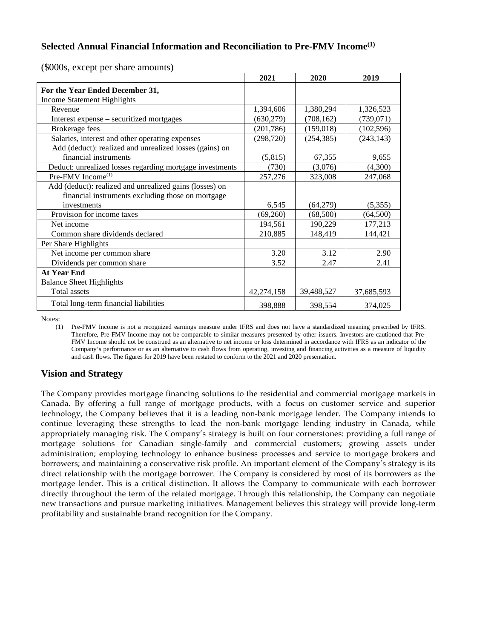## **Selected Annual Financial Information and Reconciliation to Pre-FMV Income(1)**

|                                                          | 2021       | 2020       | 2019       |
|----------------------------------------------------------|------------|------------|------------|
| For the Year Ended December 31,                          |            |            |            |
| <b>Income Statement Highlights</b>                       |            |            |            |
| Revenue                                                  | 1,394,606  | 1,380,294  | 1,326,523  |
| Interest expense – securitized mortgages                 | (630,279)  | (708, 162) | (739, 071) |
| Brokerage fees                                           | (201, 786) | (159, 018) | (102, 596) |
| Salaries, interest and other operating expenses          | (298, 720) | (254, 385) | (243, 143) |
| Add (deduct): realized and unrealized losses (gains) on  |            |            |            |
| financial instruments                                    | (5,815)    | 67,355     | 9,655      |
| Deduct: unrealized losses regarding mortgage investments | (730)      | (3,076)    | (4,300)    |
| $Pre$ -FMV Income <sup><math>(1)</math></sup>            | 257,276    | 323,008    | 247,068    |
| Add (deduct): realized and unrealized gains (losses) on  |            |            |            |
| financial instruments excluding those on mortgage        |            |            |            |
| investments                                              | 6,545      | (64,279)   | (5,355)    |
| Provision for income taxes                               | (69,260)   | (68,500)   | (64, 500)  |
| Net income                                               | 194,561    | 190,229    | 177,213    |
| Common share dividends declared                          | 210,885    | 148,419    | 144,421    |
| Per Share Highlights                                     |            |            |            |
| Net income per common share                              | 3.20       | 3.12       | 2.90       |
| Dividends per common share                               | 3.52       | 2.47       | 2.41       |
| <b>At Year End</b>                                       |            |            |            |
| <b>Balance Sheet Highlights</b>                          |            |            |            |
| Total assets                                             | 42,274,158 | 39,488,527 | 37,685,593 |
| Total long-term financial liabilities                    | 398,888    | 398,554    | 374,025    |

(\$000s, except per share amounts)

Notes:

(1) Pre-FMV Income is not a recognized earnings measure under IFRS and does not have a standardized meaning prescribed by IFRS. Therefore, Pre-FMV Income may not be comparable to similar measures presented by other issuers. Investors are cautioned that Pre-FMV Income should not be construed as an alternative to net income or loss determined in accordance with IFRS as an indicator of the Company's performance or as an alternative to cash flows from operating, investing and financing activities as a measure of liquidity and cash flows. The figures for 2019 have been restated to conform to the 2021 and 2020 presentation.

## **Vision and Strategy**

The Company provides mortgage financing solutions to the residential and commercial mortgage markets in Canada. By offering a full range of mortgage products, with a focus on customer service and superior technology, the Company believes that it is a leading non-bank mortgage lender. The Company intends to continue leveraging these strengths to lead the non-bank mortgage lending industry in Canada, while appropriately managing risk. The Company's strategy is built on four cornerstones: providing a full range of mortgage solutions for Canadian single-family and commercial customers; growing assets under administration; employing technology to enhance business processes and service to mortgage brokers and borrowers; and maintaining a conservative risk profile. An important element of the Company's strategy is its direct relationship with the mortgage borrower. The Company is considered by most of its borrowers as the mortgage lender. This is a critical distinction. It allows the Company to communicate with each borrower directly throughout the term of the related mortgage. Through this relationship, the Company can negotiate new transactions and pursue marketing initiatives. Management believes this strategy will provide long-term profitability and sustainable brand recognition for the Company.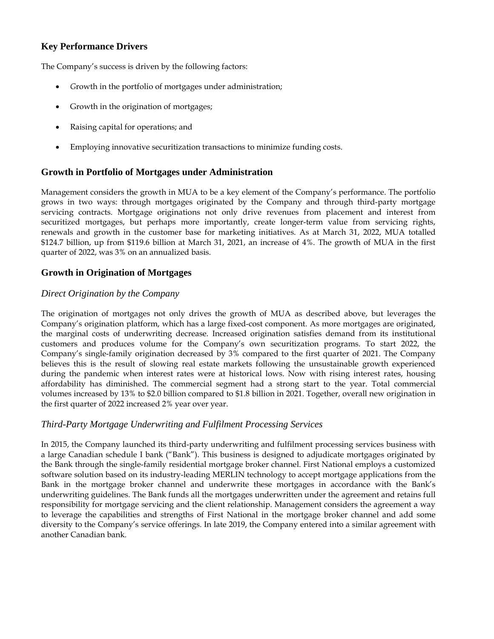## **Key Performance Drivers**

The Company's success is driven by the following factors:

- *G*rowth in the portfolio of mortgages under administration;
- Growth in the origination of mortgages;
- Raising capital for operations; and
- Employing innovative securitization transactions to minimize funding costs.

## **Growth in Portfolio of Mortgages under Administration**

Management considers the growth in MUA to be a key element of the Company's performance. The portfolio grows in two ways: through mortgages originated by the Company and through third-party mortgage servicing contracts. Mortgage originations not only drive revenues from placement and interest from securitized mortgages, but perhaps more importantly, create longer-term value from servicing rights, renewals and growth in the customer base for marketing initiatives. As at March 31, 2022, MUA totalled \$124.7 billion, up from \$119.6 billion at March 31, 2021, an increase of 4%. The growth of MUA in the first quarter of 2022, was 3% on an annualized basis.

## **Growth in Origination of Mortgages**

## *Direct Origination by the Company*

The origination of mortgages not only drives the growth of MUA as described above, but leverages the Company's origination platform, which has a large fixed-cost component. As more mortgages are originated, the marginal costs of underwriting decrease. Increased origination satisfies demand from its institutional customers and produces volume for the Company's own securitization programs. To start 2022, the Company's single-family origination decreased by 3% compared to the first quarter of 2021. The Company believes this is the result of slowing real estate markets following the unsustainable growth experienced during the pandemic when interest rates were at historical lows. Now with rising interest rates, housing affordability has diminished. The commercial segment had a strong start to the year. Total commercial volumes increased by 13% to \$2.0 billion compared to \$1.8 billion in 2021. Together, overall new origination in the first quarter of 2022 increased 2% year over year.

## *Third-Party Mortgage Underwriting and Fulfilment Processing Services*

In 2015, the Company launched its third-party underwriting and fulfilment processing services business with a large Canadian schedule I bank ("Bank"). This business is designed to adjudicate mortgages originated by the Bank through the single-family residential mortgage broker channel. First National employs a customized software solution based on its industry-leading MERLIN technology to accept mortgage applications from the Bank in the mortgage broker channel and underwrite these mortgages in accordance with the Bank's underwriting guidelines. The Bank funds all the mortgages underwritten under the agreement and retains full responsibility for mortgage servicing and the client relationship. Management considers the agreement a way to leverage the capabilities and strengths of First National in the mortgage broker channel and add some diversity to the Company's service offerings. In late 2019, the Company entered into a similar agreement with another Canadian bank.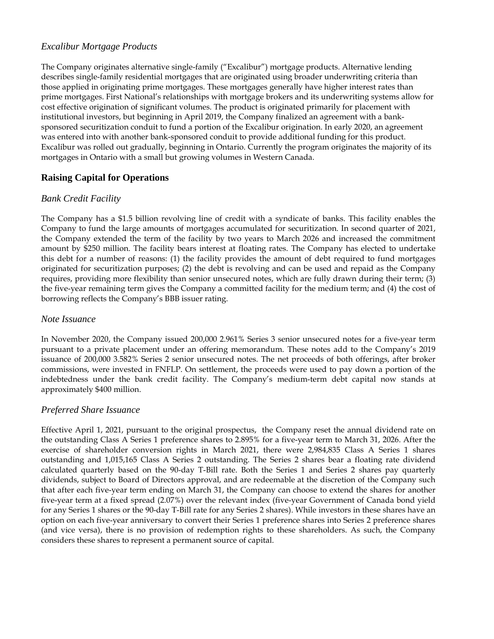## *Excalibur Mortgage Products*

The Company originates alternative single-family ("Excalibur") mortgage products. Alternative lending describes single-family residential mortgages that are originated using broader underwriting criteria than those applied in originating prime mortgages. These mortgages generally have higher interest rates than prime mortgages. First National's relationships with mortgage brokers and its underwriting systems allow for cost effective origination of significant volumes. The product is originated primarily for placement with institutional investors, but beginning in April 2019, the Company finalized an agreement with a banksponsored securitization conduit to fund a portion of the Excalibur origination. In early 2020, an agreement was entered into with another bank-sponsored conduit to provide additional funding for this product. Excalibur was rolled out gradually, beginning in Ontario. Currently the program originates the majority of its mortgages in Ontario with a small but growing volumes in Western Canada.

## **Raising Capital for Operations**

## *Bank Credit Facility*

The Company has a \$1.5 billion revolving line of credit with a syndicate of banks. This facility enables the Company to fund the large amounts of mortgages accumulated for securitization. In second quarter of 2021, the Company extended the term of the facility by two years to March 2026 and increased the commitment amount by \$250 million. The facility bears interest at floating rates. The Company has elected to undertake this debt for a number of reasons: (1) the facility provides the amount of debt required to fund mortgages originated for securitization purposes; (2) the debt is revolving and can be used and repaid as the Company requires, providing more flexibility than senior unsecured notes, which are fully drawn during their term; (3) the five-year remaining term gives the Company a committed facility for the medium term; and (4) the cost of borrowing reflects the Company's BBB issuer rating.

## *Note Issuance*

In November 2020, the Company issued 200,000 2.961% Series 3 senior unsecured notes for a five-year term pursuant to a private placement under an offering memorandum. These notes add to the Company's 2019 issuance of 200,000 3.582% Series 2 senior unsecured notes. The net proceeds of both offerings, after broker commissions, were invested in FNFLP. On settlement, the proceeds were used to pay down a portion of the indebtedness under the bank credit facility. The Company's medium-term debt capital now stands at approximately \$400 million.

## *Preferred Share Issuance*

Effective April 1, 2021, pursuant to the original prospectus, the Company reset the annual dividend rate on the outstanding Class A Series 1 preference shares to 2.895% for a five-year term to March 31, 2026. After the exercise of shareholder conversion rights in March 2021, there were 2,984,835 Class A Series 1 shares outstanding and 1,015,165 Class A Series 2 outstanding. The Series 2 shares bear a floating rate dividend calculated quarterly based on the 90-day T-Bill rate. Both the Series 1 and Series 2 shares pay quarterly dividends, subject to Board of Directors approval, and are redeemable at the discretion of the Company such that after each five-year term ending on March 31, the Company can choose to extend the shares for another five-year term at a fixed spread (2.07%) over the relevant index (five-year Government of Canada bond yield for any Series 1 shares or the 90-day T-Bill rate for any Series 2 shares). While investors in these shares have an option on each five-year anniversary to convert their Series 1 preference shares into Series 2 preference shares (and vice versa), there is no provision of redemption rights to these shareholders. As such, the Company considers these shares to represent a permanent source of capital.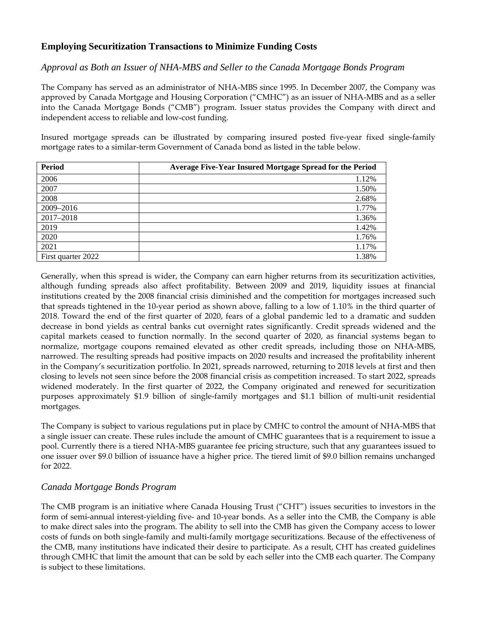## **Employing Securitization Transactions to Minimize Funding Costs**

## *Approval as Both an Issuer of NHA-MBS and Seller to the Canada Mortgage Bonds Program*

The Company has served as an administrator of NHA-MBS since 1995. In December 2007, the Company was approved by Canada Mortgage and Housing Corporation ("CMHC") as an issuer of NHA-MBS and as a seller into the Canada Mortgage Bonds ("CMB") program. Issuer status provides the Company with direct and independent access to reliable and low-cost funding.

Insured mortgage spreads can be illustrated by comparing insured posted five-year fixed single-family mortgage rates to a similar-term Government of Canada bond as listed in the table below.

| Period             | Average Five-Year Insured Mortgage Spread for the Period |
|--------------------|----------------------------------------------------------|
| 2006               | 1.12%                                                    |
| 2007               | 1.50%                                                    |
| 2008               | 2.68%                                                    |
| 2009-2016          | 1.77%                                                    |
| 2017-2018          | 1.36%                                                    |
| 2019               | 1.42%                                                    |
| 2020               | 1.76%                                                    |
| 2021               | 1.17%                                                    |
| First quarter 2022 | 1.38%                                                    |

Generally, when this spread is wider, the Company can earn higher returns from its securitization activities, although funding spreads also affect profitability. Between 2009 and 2019, liquidity issues at financial institutions created by the 2008 financial crisis diminished and the competition for mortgages increased such that spreads tightened in the 10-year period as shown above, falling to a low of 1.10% in the third quarter of 2018. Toward the end of the first quarter of 2020, fears of a global pandemic led to a dramatic and sudden decrease in bond yields as central banks cut overnight rates significantly. Credit spreads widened and the capital markets ceased to function normally. In the second quarter of 2020, as financial systems began to normalize, mortgage coupons remained elevated as other credit spreads, including those on NHA-MBS, narrowed. The resulting spreads had positive impacts on 2020 results and increased the profitability inherent in the Company's securitization portfolio. In 2021, spreads narrowed, returning to 2018 levels at first and then closing to levels not seen since before the 2008 financial crisis as competition increased. To start 2022, spreads widened moderately. In the first quarter of 2022, the Company originated and renewed for securitization purposes approximately \$1.9 billion of single-family mortgages and \$1.1 billion of multi-unit residential mortgages.

The Company is subject to various regulations put in place by CMHC to control the amount of NHA-MBS that a single issuer can create. These rules include the amount of CMHC guarantees that is a requirement to issue a pool. Currently there is a tiered NHA-MBS guarantee fee pricing structure, such that any guarantees issued to one issuer over \$9.0 billion of issuance have a higher price. The tiered limit of \$9.0 billion remains unchanged for 2022.

## *Canada Mortgage Bonds Program*

The CMB program is an initiative where Canada Housing Trust ("CHT") issues securities to investors in the form of semi-annual interest-yielding five- and 10-year bonds. As a seller into the CMB, the Company is able to make direct sales into the program. The ability to sell into the CMB has given the Company access to lower costs of funds on both single-family and multi-family mortgage securitizations. Because of the effectiveness of the CMB, many institutions have indicated their desire to participate. As a result, CHT has created guidelines through CMHC that limit the amount that can be sold by each seller into the CMB each quarter. The Company is subject to these limitations.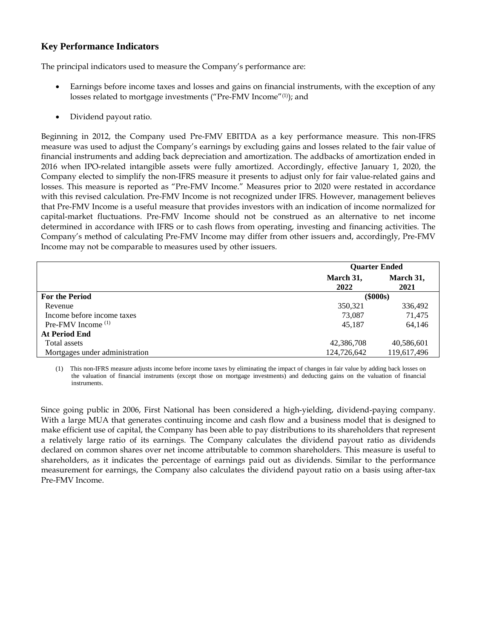## **Key Performance Indicators**

The principal indicators used to measure the Company's performance are:

- Earnings before income taxes and losses and gains on financial instruments, with the exception of any losses related to mortgage investments ("Pre-FMV Income"(1) ); and
- Dividend payout ratio.

Beginning in 2012, the Company used Pre-FMV EBITDA as a key performance measure. This non-IFRS measure was used to adjust the Company's earnings by excluding gains and losses related to the fair value of financial instruments and adding back depreciation and amortization. The addbacks of amortization ended in 2016 when IPO-related intangible assets were fully amortized. Accordingly, effective January 1, 2020, the Company elected to simplify the non-IFRS measure it presents to adjust only for fair value-related gains and losses. This measure is reported as "Pre-FMV Income." Measures prior to 2020 were restated in accordance with this revised calculation. Pre-FMV Income is not recognized under IFRS. However, management believes that Pre-FMV Income is a useful measure that provides investors with an indication of income normalized for capital-market fluctuations. Pre-FMV Income should not be construed as an alternative to net income determined in accordance with IFRS or to cash flows from operating, investing and financing activities. The Company's method of calculating Pre-FMV Income may differ from other issuers and, accordingly, Pre-FMV Income may not be comparable to measures used by other issuers.

|                                | <b>Quarter Ended</b> |             |
|--------------------------------|----------------------|-------------|
|                                | March 31,            | March 31,   |
|                                | 2022                 | 2021        |
| <b>For the Period</b>          | $(\$000s)$           |             |
| Revenue                        | 350,321              | 336,492     |
| Income before income taxes     | 73,087               | 71.475      |
| Pre-FMV Income $(1)$           | 45.187               | 64,146      |
| <b>At Period End</b>           |                      |             |
| Total assets                   | 42,386,708           | 40,586,601  |
| Mortgages under administration | 124,726,642          | 119,617,496 |

(1) This non-IFRS measure adjusts income before income taxes by eliminating the impact of changes in fair value by adding back losses on the valuation of financial instruments (except those on mortgage investments) and deducting gains on the valuation of financial instruments.

Since going public in 2006, First National has been considered a high-yielding, dividend-paying company. With a large MUA that generates continuing income and cash flow and a business model that is designed to make efficient use of capital, the Company has been able to pay distributions to its shareholders that represent a relatively large ratio of its earnings. The Company calculates the dividend payout ratio as dividends declared on common shares over net income attributable to common shareholders. This measure is useful to shareholders, as it indicates the percentage of earnings paid out as dividends. Similar to the performance measurement for earnings, the Company also calculates the dividend payout ratio on a basis using after-tax Pre-FMV Income.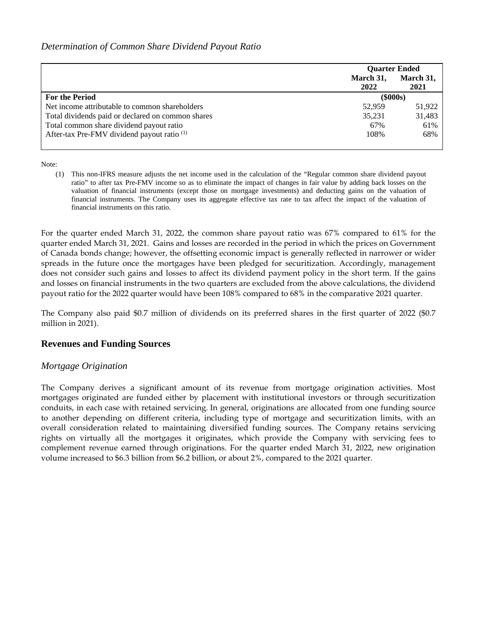## *Determination of Common Share Dividend Payout Ratio*

|                                                        | <b>Ouarter Ended</b> |           |
|--------------------------------------------------------|----------------------|-----------|
|                                                        | March 31,            | March 31, |
|                                                        | 2022                 | 2021      |
| <b>For the Period</b>                                  | $(\$000s)$           |           |
| Net income attributable to common shareholders         | 52,959               | 51,922    |
| Total dividends paid or declared on common shares      | 35,231               | 31,483    |
| Total common share dividend payout ratio               | 67%                  | 61%       |
| After-tax Pre-FMV dividend payout ratio <sup>(1)</sup> | 108%                 | 68%       |
|                                                        |                      |           |

Note:

(1) This non-IFRS measure adjusts the net income used in the calculation of the "Regular common share dividend payout ratio" to after tax Pre-FMV income so as to eliminate the impact of changes in fair value by adding back losses on the valuation of financial instruments (except those on mortgage investments) and deducting gains on the valuation of financial instruments. The Company uses its aggregate effective tax rate to tax affect the impact of the valuation of financial instruments on this ratio.

For the quarter ended March 31, 2022, the common share payout ratio was 67% compared to 61% for the quarter ended March 31, 2021. Gains and losses are recorded in the period in which the prices on Government of Canada bonds change; however, the offsetting economic impact is generally reflected in narrower or wider spreads in the future once the mortgages have been pledged for securitization. Accordingly, management does not consider such gains and losses to affect its dividend payment policy in the short term. If the gains and losses on financial instruments in the two quarters are excluded from the above calculations, the dividend payout ratio for the 2022 quarter would have been 108% compared to 68% in the comparative 2021 quarter.

The Company also paid \$0.7 million of dividends on its preferred shares in the first quarter of 2022 (\$0.7 million in 2021).

## **Revenues and Funding Sources**

## *Mortgage Origination*

The Company derives a significant amount of its revenue from mortgage origination activities. Most mortgages originated are funded either by placement with institutional investors or through securitization conduits, in each case with retained servicing. In general, originations are allocated from one funding source to another depending on different criteria, including type of mortgage and securitization limits, with an overall consideration related to maintaining diversified funding sources. The Company retains servicing rights on virtually all the mortgages it originates, which provide the Company with servicing fees to complement revenue earned through originations. For the quarter ended March 31, 2022, new origination volume increased to \$6.3 billion from \$6.2 billion, or about 2%, compared to the 2021 quarter.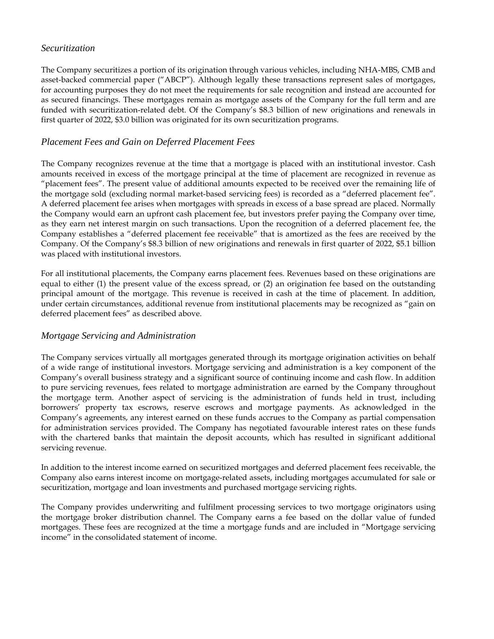## *Securitization*

The Company securitizes a portion of its origination through various vehicles, including NHA-MBS, CMB and asset-backed commercial paper ("ABCP"). Although legally these transactions represent sales of mortgages, for accounting purposes they do not meet the requirements for sale recognition and instead are accounted for as secured financings. These mortgages remain as mortgage assets of the Company for the full term and are funded with securitization-related debt. Of the Company's \$8.3 billion of new originations and renewals in first quarter of 2022, \$3.0 billion was originated for its own securitization programs.

## *Placement Fees and Gain on Deferred Placement Fees*

The Company recognizes revenue at the time that a mortgage is placed with an institutional investor. Cash amounts received in excess of the mortgage principal at the time of placement are recognized in revenue as "placement fees". The present value of additional amounts expected to be received over the remaining life of the mortgage sold (excluding normal market-based servicing fees) is recorded as a "deferred placement fee". A deferred placement fee arises when mortgages with spreads in excess of a base spread are placed. Normally the Company would earn an upfront cash placement fee, but investors prefer paying the Company over time, as they earn net interest margin on such transactions. Upon the recognition of a deferred placement fee, the Company establishes a "deferred placement fee receivable" that is amortized as the fees are received by the Company. Of the Company's \$8.3 billion of new originations and renewals in first quarter of 2022, \$5.1 billion was placed with institutional investors.

For all institutional placements, the Company earns placement fees. Revenues based on these originations are equal to either (1) the present value of the excess spread, or (2) an origination fee based on the outstanding principal amount of the mortgage. This revenue is received in cash at the time of placement. In addition, under certain circumstances, additional revenue from institutional placements may be recognized as "gain on deferred placement fees" as described above.

## *Mortgage Servicing and Administration*

The Company services virtually all mortgages generated through its mortgage origination activities on behalf of a wide range of institutional investors. Mortgage servicing and administration is a key component of the Company's overall business strategy and a significant source of continuing income and cash flow. In addition to pure servicing revenues, fees related to mortgage administration are earned by the Company throughout the mortgage term. Another aspect of servicing is the administration of funds held in trust, including borrowers' property tax escrows, reserve escrows and mortgage payments. As acknowledged in the Company's agreements, any interest earned on these funds accrues to the Company as partial compensation for administration services provided. The Company has negotiated favourable interest rates on these funds with the chartered banks that maintain the deposit accounts, which has resulted in significant additional servicing revenue.

In addition to the interest income earned on securitized mortgages and deferred placement fees receivable, the Company also earns interest income on mortgage-related assets, including mortgages accumulated for sale or securitization, mortgage and loan investments and purchased mortgage servicing rights.

The Company provides underwriting and fulfilment processing services to two mortgage originators using the mortgage broker distribution channel. The Company earns a fee based on the dollar value of funded mortgages. These fees are recognized at the time a mortgage funds and are included in "Mortgage servicing income" in the consolidated statement of income.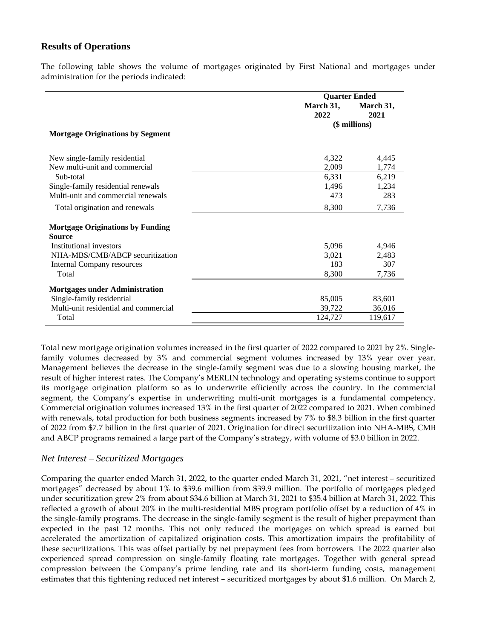## **Results of Operations**

The following table shows the volume of mortgages originated by First National and mortgages under administration for the periods indicated:

|                                         | <b>Quarter Ended</b> |                   |
|-----------------------------------------|----------------------|-------------------|
|                                         | March 31,<br>2022    | March 31,<br>2021 |
|                                         |                      | (\$ millions)     |
| <b>Mortgage Originations by Segment</b> |                      |                   |
| New single-family residential           | 4,322                | 4,445             |
| New multi-unit and commercial           | 2,009                | 1,774             |
| Sub-total                               | 6,331                | 6,219             |
| Single-family residential renewals      | 1,496                | 1,234             |
| Multi-unit and commercial renewals      | 473                  | 283               |
| Total origination and renewals          | 8,300                | 7,736             |
| <b>Mortgage Originations by Funding</b> |                      |                   |
| <b>Source</b>                           |                      |                   |
| Institutional investors                 | 5,096                | 4,946             |
| NHA-MBS/CMB/ABCP securitization         | 3,021                | 2,483             |
| Internal Company resources              | 183                  | 307               |
| Total                                   | 8,300                | 7,736             |
| <b>Mortgages under Administration</b>   |                      |                   |
| Single-family residential               | 85,005               | 83,601            |
| Multi-unit residential and commercial   | 39,722               | 36,016            |
| Total                                   | 124,727              | 119,617           |

Total new mortgage origination volumes increased in the first quarter of 2022 compared to 2021 by 2%. Singlefamily volumes decreased by 3% and commercial segment volumes increased by 13% year over year. Management believes the decrease in the single-family segment was due to a slowing housing market, the result of higher interest rates. The Company's MERLIN technology and operating systems continue to support its mortgage origination platform so as to underwrite efficiently across the country. In the commercial segment, the Company's expertise in underwriting multi-unit mortgages is a fundamental competency. Commercial origination volumes increased 13% in the first quarter of 2022 compared to 2021. When combined with renewals, total production for both business segments increased by 7% to \$8.3 billion in the first quarter of 2022 from \$7.7 billion in the first quarter of 2021. Origination for direct securitization into NHA-MBS, CMB and ABCP programs remained a large part of the Company's strategy, with volume of \$3.0 billion in 2022.

#### *Net Interest – Securitized Mortgages*

Comparing the quarter ended March 31, 2022, to the quarter ended March 31, 2021, "net interest – securitized mortgages" decreased by about 1% to \$39.6 million from \$39.9 million. The portfolio of mortgages pledged under securitization grew 2% from about \$34.6 billion at March 31, 2021 to \$35.4 billion at March 31, 2022. This reflected a growth of about 20% in the multi-residential MBS program portfolio offset by a reduction of 4% in the single-family programs. The decrease in the single-family segment is the result of higher prepayment than expected in the past 12 months. This not only reduced the mortgages on which spread is earned but accelerated the amortization of capitalized origination costs. This amortization impairs the profitability of these securitizations. This was offset partially by net prepayment fees from borrowers. The 2022 quarter also experienced spread compression on single-family floating rate mortgages. Together with general spread compression between the Company's prime lending rate and its short-term funding costs, management estimates that this tightening reduced net interest – securitized mortgages by about \$1.6 million. On March 2,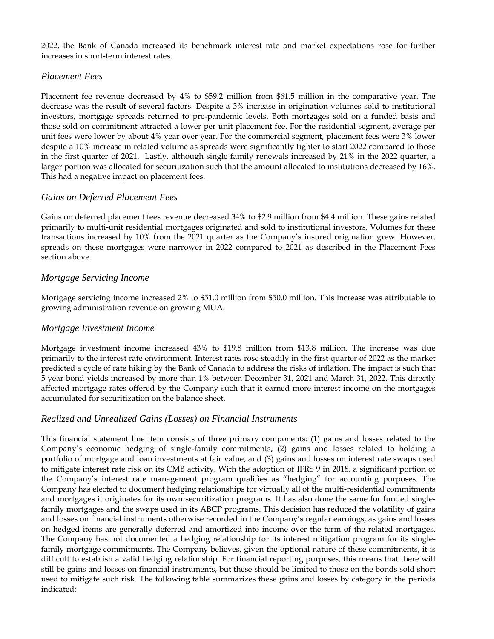2022, the Bank of Canada increased its benchmark interest rate and market expectations rose for further increases in short-term interest rates.

## *Placement Fees*

Placement fee revenue decreased by 4% to \$59.2 million from \$61.5 million in the comparative year. The decrease was the result of several factors. Despite a 3% increase in origination volumes sold to institutional investors, mortgage spreads returned to pre-pandemic levels. Both mortgages sold on a funded basis and those sold on commitment attracted a lower per unit placement fee. For the residential segment, average per unit fees were lower by about 4% year over year. For the commercial segment, placement fees were 3% lower despite a 10% increase in related volume as spreads were significantly tighter to start 2022 compared to those in the first quarter of 2021. Lastly, although single family renewals increased by 21% in the 2022 quarter, a larger portion was allocated for securitization such that the amount allocated to institutions decreased by 16%. This had a negative impact on placement fees.

## *Gains on Deferred Placement Fees*

Gains on deferred placement fees revenue decreased 34% to \$2.9 million from \$4.4 million. These gains related primarily to multi-unit residential mortgages originated and sold to institutional investors. Volumes for these transactions increased by 10% from the 2021 quarter as the Company's insured origination grew. However, spreads on these mortgages were narrower in 2022 compared to 2021 as described in the Placement Fees section above.

## *Mortgage Servicing Income*

Mortgage servicing income increased 2% to \$51.0 million from \$50.0 million. This increase was attributable to growing administration revenue on growing MUA.

## *Mortgage Investment Income*

Mortgage investment income increased 43% to \$19.8 million from \$13.8 million. The increase was due primarily to the interest rate environment. Interest rates rose steadily in the first quarter of 2022 as the market predicted a cycle of rate hiking by the Bank of Canada to address the risks of inflation. The impact is such that 5 year bond yields increased by more than 1% between December 31, 2021 and March 31, 2022. This directly affected mortgage rates offered by the Company such that it earned more interest income on the mortgages accumulated for securitization on the balance sheet.

## *Realized and Unrealized Gains (Losses) on Financial Instruments*

This financial statement line item consists of three primary components: (1) gains and losses related to the Company's economic hedging of single-family commitments, (2) gains and losses related to holding a portfolio of mortgage and loan investments at fair value, and (3) gains and losses on interest rate swaps used to mitigate interest rate risk on its CMB activity. With the adoption of IFRS 9 in 2018, a significant portion of the Company's interest rate management program qualifies as "hedging" for accounting purposes. The Company has elected to document hedging relationships for virtually all of the multi-residential commitments and mortgages it originates for its own securitization programs. It has also done the same for funded singlefamily mortgages and the swaps used in its ABCP programs. This decision has reduced the volatility of gains and losses on financial instruments otherwise recorded in the Company's regular earnings, as gains and losses on hedged items are generally deferred and amortized into income over the term of the related mortgages. The Company has not documented a hedging relationship for its interest mitigation program for its singlefamily mortgage commitments. The Company believes, given the optional nature of these commitments, it is difficult to establish a valid hedging relationship. For financial reporting purposes, this means that there will still be gains and losses on financial instruments, but these should be limited to those on the bonds sold short used to mitigate such risk. The following table summarizes these gains and losses by category in the periods indicated: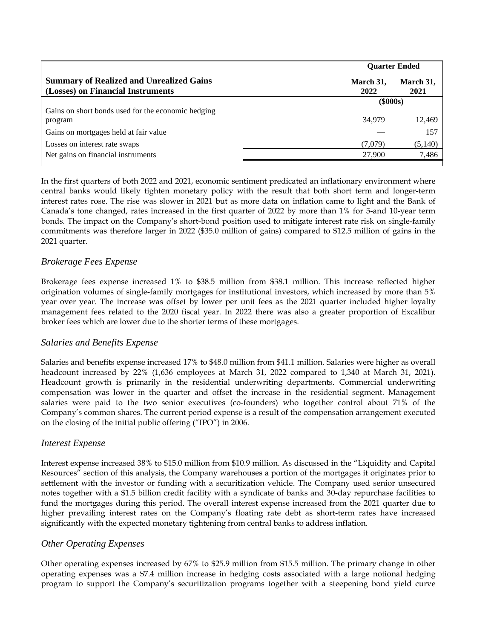|                                                                                      |                   | <b>Ouarter Ended</b> |
|--------------------------------------------------------------------------------------|-------------------|----------------------|
| <b>Summary of Realized and Unrealized Gains</b><br>(Losses) on Financial Instruments | March 31,<br>2022 | March 31,<br>2021    |
|                                                                                      | $(\$000s)$        |                      |
| Gains on short bonds used for the economic hedging                                   |                   |                      |
| program                                                                              | 34,979            | 12,469               |
| Gains on mortgages held at fair value                                                |                   | 157                  |
| Losses on interest rate swaps                                                        | (7,079)           | (5,140)              |
| Net gains on financial instruments                                                   | 27,900            | 7,486                |
|                                                                                      |                   |                      |

In the first quarters of both 2022 and 2021, economic sentiment predicated an inflationary environment where central banks would likely tighten monetary policy with the result that both short term and longer-term interest rates rose. The rise was slower in 2021 but as more data on inflation came to light and the Bank of Canada's tone changed, rates increased in the first quarter of 2022 by more than 1% for 5-and 10-year term bonds. The impact on the Company's short-bond position used to mitigate interest rate risk on single-family commitments was therefore larger in 2022 (\$35.0 million of gains) compared to \$12.5 million of gains in the 2021 quarter.

## *Brokerage Fees Expense*

Brokerage fees expense increased 1% to \$38.5 million from \$38.1 million. This increase reflected higher origination volumes of single-family mortgages for institutional investors, which increased by more than 5% year over year. The increase was offset by lower per unit fees as the 2021 quarter included higher loyalty management fees related to the 2020 fiscal year. In 2022 there was also a greater proportion of Excalibur broker fees which are lower due to the shorter terms of these mortgages.

## *Salaries and Benefits Expense*

Salaries and benefits expense increased 17% to \$48.0 million from \$41.1 million. Salaries were higher as overall headcount increased by 22% (1,636 employees at March 31, 2022 compared to 1,340 at March 31, 2021). Headcount growth is primarily in the residential underwriting departments. Commercial underwriting compensation was lower in the quarter and offset the increase in the residential segment. Management salaries were paid to the two senior executives (co-founders) who together control about 71% of the Company's common shares. The current period expense is a result of the compensation arrangement executed on the closing of the initial public offering ("IPO") in 2006.

## *Interest Expense*

Interest expense increased 38% to \$15.0 million from \$10.9 million. As discussed in the "Liquidity and Capital Resources" section of this analysis, the Company warehouses a portion of the mortgages it originates prior to settlement with the investor or funding with a securitization vehicle. The Company used senior unsecured notes together with a \$1.5 billion credit facility with a syndicate of banks and 30-day repurchase facilities to fund the mortgages during this period. The overall interest expense increased from the 2021 quarter due to higher prevailing interest rates on the Company's floating rate debt as short-term rates have increased significantly with the expected monetary tightening from central banks to address inflation.

## *Other Operating Expenses*

Other operating expenses increased by 67% to \$25.9 million from \$15.5 million. The primary change in other operating expenses was a \$7.4 million increase in hedging costs associated with a large notional hedging program to support the Company's securitization programs together with a steepening bond yield curve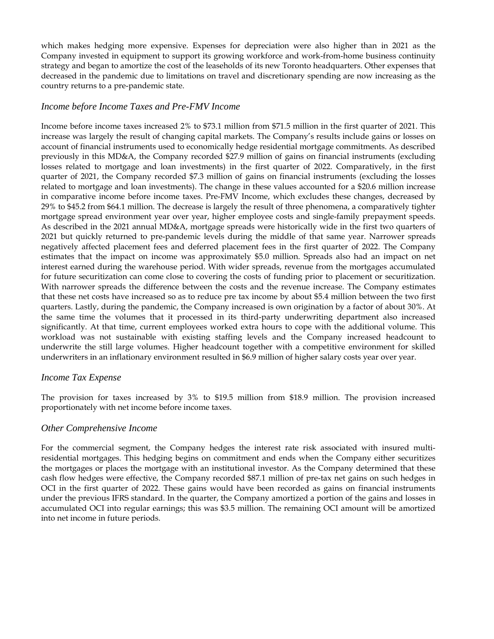which makes hedging more expensive. Expenses for depreciation were also higher than in 2021 as the Company invested in equipment to support its growing workforce and work-from-home business continuity strategy and began to amortize the cost of the leaseholds of its new Toronto headquarters. Other expenses that decreased in the pandemic due to limitations on travel and discretionary spending are now increasing as the country returns to a pre-pandemic state.

## *Income before Income Taxes and Pre-FMV Income*

Income before income taxes increased 2% to \$73.1 million from \$71.5 million in the first quarter of 2021. This increase was largely the result of changing capital markets. The Company's results include gains or losses on account of financial instruments used to economically hedge residential mortgage commitments. As described previously in this MD&A, the Company recorded \$27.9 million of gains on financial instruments (excluding losses related to mortgage and loan investments) in the first quarter of 2022. Comparatively, in the first quarter of 2021, the Company recorded \$7.3 million of gains on financial instruments (excluding the losses related to mortgage and loan investments). The change in these values accounted for a \$20.6 million increase in comparative income before income taxes. Pre-FMV Income, which excludes these changes, decreased by 29% to \$45.2 from \$64.1 million. The decrease is largely the result of three phenomena, a comparatively tighter mortgage spread environment year over year, higher employee costs and single-family prepayment speeds. As described in the 2021 annual MD&A, mortgage spreads were historically wide in the first two quarters of 2021 but quickly returned to pre-pandemic levels during the middle of that same year. Narrower spreads negatively affected placement fees and deferred placement fees in the first quarter of 2022. The Company estimates that the impact on income was approximately \$5.0 million. Spreads also had an impact on net interest earned during the warehouse period. With wider spreads, revenue from the mortgages accumulated for future securitization can come close to covering the costs of funding prior to placement or securitization. With narrower spreads the difference between the costs and the revenue increase. The Company estimates that these net costs have increased so as to reduce pre tax income by about \$5.4 million between the two first quarters. Lastly, during the pandemic, the Company increased is own origination by a factor of about 30%. At the same time the volumes that it processed in its third-party underwriting department also increased significantly. At that time, current employees worked extra hours to cope with the additional volume. This workload was not sustainable with existing staffing levels and the Company increased headcount to underwrite the still large volumes. Higher headcount together with a competitive environment for skilled underwriters in an inflationary environment resulted in \$6.9 million of higher salary costs year over year.

## *Income Tax Expense*

The provision for taxes increased by 3% to \$19.5 million from \$18.9 million. The provision increased proportionately with net income before income taxes.

## *Other Comprehensive Income*

For the commercial segment, the Company hedges the interest rate risk associated with insured multiresidential mortgages. This hedging begins on commitment and ends when the Company either securitizes the mortgages or places the mortgage with an institutional investor. As the Company determined that these cash flow hedges were effective, the Company recorded \$87.1 million of pre-tax net gains on such hedges in OCI in the first quarter of 2022. These gains would have been recorded as gains on financial instruments under the previous IFRS standard. In the quarter, the Company amortized a portion of the gains and losses in accumulated OCI into regular earnings; this was \$3.5 million. The remaining OCI amount will be amortized into net income in future periods.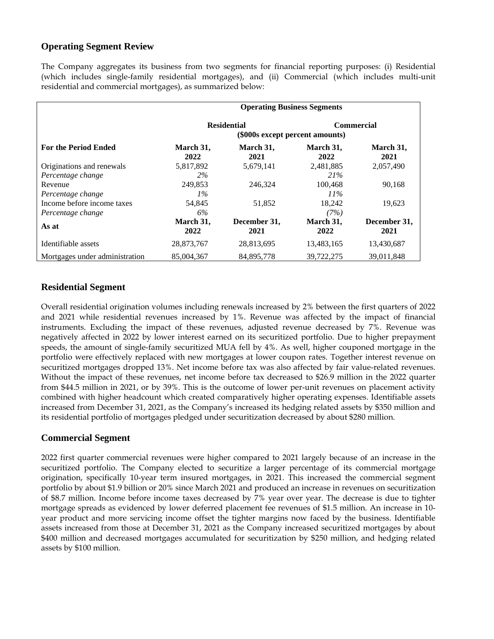## **Operating Segment Review**

The Company aggregates its business from two segments for financial reporting purposes: (i) Residential (which includes single-family residential mortgages), and (ii) Commercial (which includes multi-unit residential and commercial mortgages), as summarized below:

|                                | <b>Operating Business Segments</b>                    |                      |                   |                      |
|--------------------------------|-------------------------------------------------------|----------------------|-------------------|----------------------|
|                                | <b>Residential</b><br>(\$000s except percent amounts) |                      | <b>Commercial</b> |                      |
| <b>For the Period Ended</b>    | March 31,<br>2022                                     | March 31,<br>2021    | March 31,<br>2022 | March 31,<br>2021    |
| Originations and renewals      | 5,817,892                                             | 5,679,141            | 2,481,885         | 2,057,490            |
| Percentage change              | 2%                                                    |                      | 21%               |                      |
| Revenue                        | 249,853                                               | 246,324              | 100,468           | 90,168               |
| Percentage change              | $1\%$                                                 |                      | $11\%$            |                      |
| Income before income taxes     | 54,845                                                | 51,852               | 18,242            | 19,623               |
| Percentage change              | 6%                                                    |                      | (7%)              |                      |
| As at                          | March 31,<br>2022                                     | December 31,<br>2021 | March 31,<br>2022 | December 31,<br>2021 |
| Identifiable assets            | 28,873,767                                            | 28,813,695           | 13,483,165        | 13,430,687           |
| Mortgages under administration | 85,004,367                                            | 84.895.778           | 39.722.275        | 39.011.848           |

## **Residential Segment**

Overall residential origination volumes including renewals increased by 2% between the first quarters of 2022 and 2021 while residential revenues increased by 1%. Revenue was affected by the impact of financial instruments. Excluding the impact of these revenues, adjusted revenue decreased by 7%. Revenue was negatively affected in 2022 by lower interest earned on its securitized portfolio. Due to higher prepayment speeds, the amount of single-family securitized MUA fell by 4%. As well, higher couponed mortgage in the portfolio were effectively replaced with new mortgages at lower coupon rates. Together interest revenue on securitized mortgages dropped 13%. Net income before tax was also affected by fair value-related revenues. Without the impact of these revenues, net income before tax decreased to \$26.9 million in the 2022 quarter from \$44.5 million in 2021, or by 39%. This is the outcome of lower per-unit revenues on placement activity combined with higher headcount which created comparatively higher operating expenses. Identifiable assets increased from December 31, 2021, as the Company's increased its hedging related assets by \$350 million and its residential portfolio of mortgages pledged under securitization decreased by about \$280 million.

## **Commercial Segment**

2022 first quarter commercial revenues were higher compared to 2021 largely because of an increase in the securitized portfolio. The Company elected to securitize a larger percentage of its commercial mortgage origination, specifically 10-year term insured mortgages, in 2021. This increased the commercial segment portfolio by about \$1.9 billion or 20% since March 2021 and produced an increase in revenues on securitization of \$8.7 million. Income before income taxes decreased by 7% year over year. The decrease is due to tighter mortgage spreads as evidenced by lower deferred placement fee revenues of \$1.5 million. An increase in 10 year product and more servicing income offset the tighter margins now faced by the business. Identifiable assets increased from those at December 31, 2021 as the Company increased securitized mortgages by about \$400 million and decreased mortgages accumulated for securitization by \$250 million, and hedging related assets by \$100 million.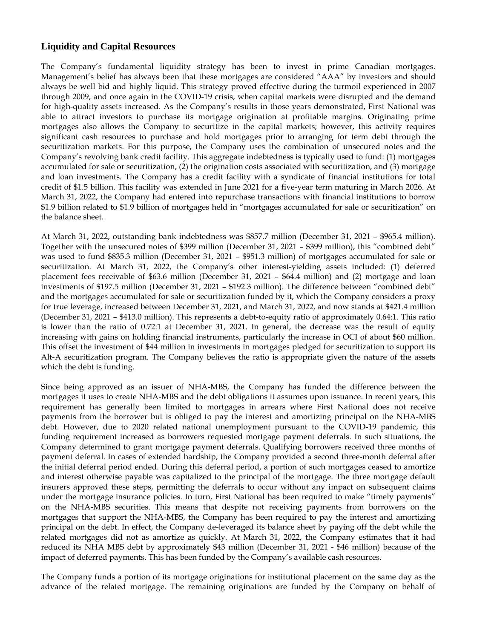## **Liquidity and Capital Resources**

The Company's fundamental liquidity strategy has been to invest in prime Canadian mortgages. Management's belief has always been that these mortgages are considered "AAA" by investors and should always be well bid and highly liquid. This strategy proved effective during the turmoil experienced in 2007 through 2009, and once again in the COVID-19 crisis, when capital markets were disrupted and the demand for high-quality assets increased. As the Company's results in those years demonstrated, First National was able to attract investors to purchase its mortgage origination at profitable margins. Originating prime mortgages also allows the Company to securitize in the capital markets; however, this activity requires significant cash resources to purchase and hold mortgages prior to arranging for term debt through the securitization markets. For this purpose, the Company uses the combination of unsecured notes and the Company's revolving bank credit facility. This aggregate indebtedness is typically used to fund: (1) mortgages accumulated for sale or securitization, (2) the origination costs associated with securitization, and (3) mortgage and loan investments. The Company has a credit facility with a syndicate of financial institutions for total credit of \$1.5 billion. This facility was extended in June 2021 for a five-year term maturing in March 2026. At March 31, 2022, the Company had entered into repurchase transactions with financial institutions to borrow \$1.9 billion related to \$1.9 billion of mortgages held in "mortgages accumulated for sale or securitization" on the balance sheet.

At March 31, 2022, outstanding bank indebtedness was \$857.7 million (December 31, 2021 – \$965.4 million). Together with the unsecured notes of \$399 million (December 31, 2021 – \$399 million), this "combined debt" was used to fund \$835.3 million (December 31, 2021 – \$951.3 million) of mortgages accumulated for sale or securitization. At March 31, 2022, the Company's other interest-yielding assets included: (1) deferred placement fees receivable of \$63.6 million (December 31, 2021 – \$64.4 million) and (2) mortgage and loan investments of \$197.5 million (December 31, 2021 – \$192.3 million). The difference between "combined debt" and the mortgages accumulated for sale or securitization funded by it, which the Company considers a proxy for true leverage, increased between December 31, 2021, and March 31, 2022, and now stands at \$421.4 million (December 31, 2021 – \$413.0 million). This represents a debt-to-equity ratio of approximately 0.64:1. This ratio is lower than the ratio of 0.72:1 at December 31, 2021. In general, the decrease was the result of equity increasing with gains on holding financial instruments, particularly the increase in OCI of about \$60 million. This offset the investment of \$44 million in investments in mortgages pledged for securitization to support its Alt-A securitization program. The Company believes the ratio is appropriate given the nature of the assets which the debt is funding.

Since being approved as an issuer of NHA-MBS, the Company has funded the difference between the mortgages it uses to create NHA-MBS and the debt obligations it assumes upon issuance. In recent years, this requirement has generally been limited to mortgages in arrears where First National does not receive payments from the borrower but is obliged to pay the interest and amortizing principal on the NHA-MBS debt. However, due to 2020 related national unemployment pursuant to the COVID-19 pandemic, this funding requirement increased as borrowers requested mortgage payment deferrals. In such situations, the Company determined to grant mortgage payment deferrals. Qualifying borrowers received three months of payment deferral. In cases of extended hardship, the Company provided a second three-month deferral after the initial deferral period ended. During this deferral period, a portion of such mortgages ceased to amortize and interest otherwise payable was capitalized to the principal of the mortgage. The three mortgage default insurers approved these steps, permitting the deferrals to occur without any impact on subsequent claims under the mortgage insurance policies. In turn, First National has been required to make "timely payments" on the NHA-MBS securities. This means that despite not receiving payments from borrowers on the mortgages that support the NHA-MBS, the Company has been required to pay the interest and amortizing principal on the debt. In effect, the Company de-leveraged its balance sheet by paying off the debt while the related mortgages did not as amortize as quickly. At March 31, 2022, the Company estimates that it had reduced its NHA MBS debt by approximately \$43 million (December 31, 2021 - \$46 million) because of the impact of deferred payments. This has been funded by the Company's available cash resources.

The Company funds a portion of its mortgage originations for institutional placement on the same day as the advance of the related mortgage. The remaining originations are funded by the Company on behalf of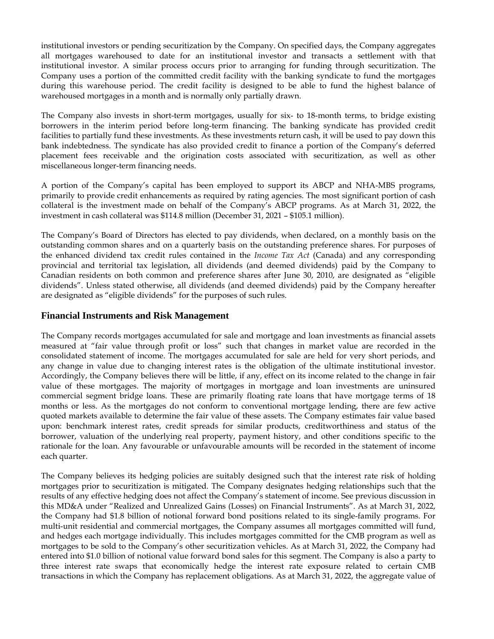institutional investors or pending securitization by the Company. On specified days, the Company aggregates all mortgages warehoused to date for an institutional investor and transacts a settlement with that institutional investor. A similar process occurs prior to arranging for funding through securitization. The Company uses a portion of the committed credit facility with the banking syndicate to fund the mortgages during this warehouse period. The credit facility is designed to be able to fund the highest balance of warehoused mortgages in a month and is normally only partially drawn.

The Company also invests in short-term mortgages, usually for six- to 18-month terms, to bridge existing borrowers in the interim period before long-term financing. The banking syndicate has provided credit facilities to partially fund these investments. As these investments return cash, it will be used to pay down this bank indebtedness. The syndicate has also provided credit to finance a portion of the Company's deferred placement fees receivable and the origination costs associated with securitization, as well as other miscellaneous longer-term financing needs.

A portion of the Company's capital has been employed to support its ABCP and NHA-MBS programs, primarily to provide credit enhancements as required by rating agencies. The most significant portion of cash collateral is the investment made on behalf of the Company's ABCP programs. As at March 31, 2022, the investment in cash collateral was \$114.8 million (December 31, 2021 – \$105.1 million).

The Company's Board of Directors has elected to pay dividends, when declared, on a monthly basis on the outstanding common shares and on a quarterly basis on the outstanding preference shares. For purposes of the enhanced dividend tax credit rules contained in the *Income Tax Act* (Canada) and any corresponding provincial and territorial tax legislation, all dividends (and deemed dividends) paid by the Company to Canadian residents on both common and preference shares after June 30, 2010, are designated as "eligible dividends". Unless stated otherwise, all dividends (and deemed dividends) paid by the Company hereafter are designated as "eligible dividends" for the purposes of such rules.

#### **Financial Instruments and Risk Management**

The Company records mortgages accumulated for sale and mortgage and loan investments as financial assets measured at "fair value through profit or loss" such that changes in market value are recorded in the consolidated statement of income. The mortgages accumulated for sale are held for very short periods, and any change in value due to changing interest rates is the obligation of the ultimate institutional investor. Accordingly, the Company believes there will be little, if any, effect on its income related to the change in fair value of these mortgages. The majority of mortgages in mortgage and loan investments are uninsured commercial segment bridge loans. These are primarily floating rate loans that have mortgage terms of 18 months or less. As the mortgages do not conform to conventional mortgage lending, there are few active quoted markets available to determine the fair value of these assets. The Company estimates fair value based upon: benchmark interest rates, credit spreads for similar products, creditworthiness and status of the borrower, valuation of the underlying real property, payment history, and other conditions specific to the rationale for the loan. Any favourable or unfavourable amounts will be recorded in the statement of income each quarter.

The Company believes its hedging policies are suitably designed such that the interest rate risk of holding mortgages prior to securitization is mitigated. The Company designates hedging relationships such that the results of any effective hedging does not affect the Company's statement of income. See previous discussion in this MD&A under "Realized and Unrealized Gains (Losses) on Financial Instruments". As at March 31, 2022, the Company had \$1.8 billion of notional forward bond positions related to its single-family programs. For multi-unit residential and commercial mortgages, the Company assumes all mortgages committed will fund, and hedges each mortgage individually. This includes mortgages committed for the CMB program as well as mortgages to be sold to the Company's other securitization vehicles. As at March 31, 2022, the Company had entered into \$1.0 billion of notional value forward bond sales for this segment. The Company is also a party to three interest rate swaps that economically hedge the interest rate exposure related to certain CMB transactions in which the Company has replacement obligations. As at March 31, 2022, the aggregate value of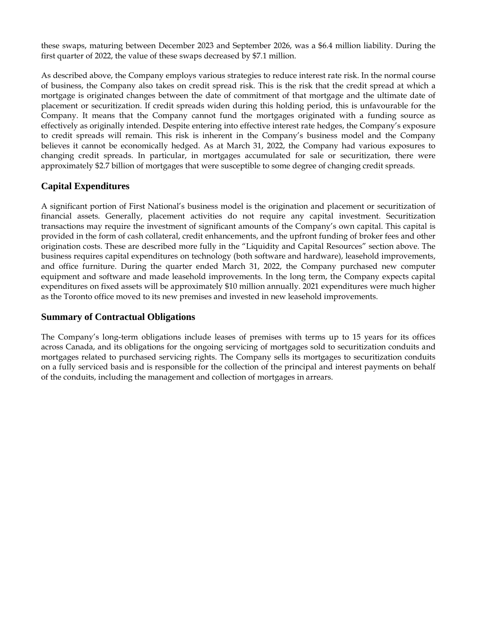these swaps, maturing between December 2023 and September 2026, was a \$6.4 million liability. During the first quarter of 2022, the value of these swaps decreased by \$7.1 million.

As described above, the Company employs various strategies to reduce interest rate risk. In the normal course of business, the Company also takes on credit spread risk. This is the risk that the credit spread at which a mortgage is originated changes between the date of commitment of that mortgage and the ultimate date of placement or securitization. If credit spreads widen during this holding period, this is unfavourable for the Company. It means that the Company cannot fund the mortgages originated with a funding source as effectively as originally intended. Despite entering into effective interest rate hedges, the Company's exposure to credit spreads will remain. This risk is inherent in the Company's business model and the Company believes it cannot be economically hedged. As at March 31, 2022, the Company had various exposures to changing credit spreads. In particular, in mortgages accumulated for sale or securitization, there were approximately \$2.7 billion of mortgages that were susceptible to some degree of changing credit spreads.

## **Capital Expenditures**

A significant portion of First National's business model is the origination and placement or securitization of financial assets. Generally, placement activities do not require any capital investment. Securitization transactions may require the investment of significant amounts of the Company's own capital. This capital is provided in the form of cash collateral, credit enhancements, and the upfront funding of broker fees and other origination costs. These are described more fully in the "Liquidity and Capital Resources" section above. The business requires capital expenditures on technology (both software and hardware), leasehold improvements, and office furniture. During the quarter ended March 31, 2022, the Company purchased new computer equipment and software and made leasehold improvements. In the long term, the Company expects capital expenditures on fixed assets will be approximately \$10 million annually. 2021 expenditures were much higher as the Toronto office moved to its new premises and invested in new leasehold improvements.

## **Summary of Contractual Obligations**

The Company's long-term obligations include leases of premises with terms up to 15 years for its offices across Canada, and its obligations for the ongoing servicing of mortgages sold to securitization conduits and mortgages related to purchased servicing rights. The Company sells its mortgages to securitization conduits on a fully serviced basis and is responsible for the collection of the principal and interest payments on behalf of the conduits, including the management and collection of mortgages in arrears.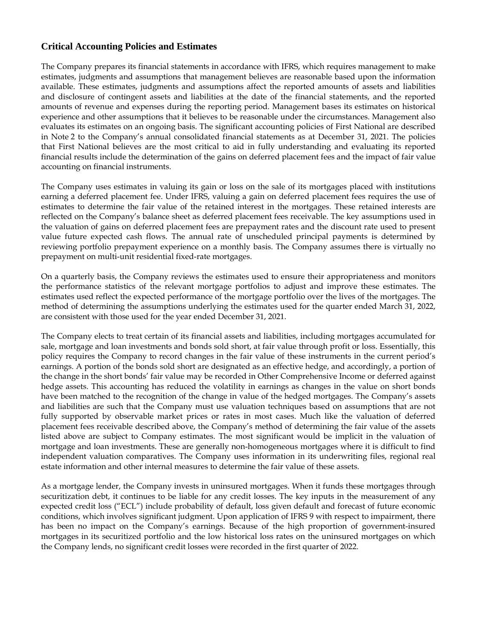## **Critical Accounting Policies and Estimates**

The Company prepares its financial statements in accordance with IFRS, which requires management to make estimates, judgments and assumptions that management believes are reasonable based upon the information available. These estimates, judgments and assumptions affect the reported amounts of assets and liabilities and disclosure of contingent assets and liabilities at the date of the financial statements, and the reported amounts of revenue and expenses during the reporting period. Management bases its estimates on historical experience and other assumptions that it believes to be reasonable under the circumstances. Management also evaluates its estimates on an ongoing basis. The significant accounting policies of First National are described in Note 2 to the Company's annual consolidated financial statements as at December 31, 2021. The policies that First National believes are the most critical to aid in fully understanding and evaluating its reported financial results include the determination of the gains on deferred placement fees and the impact of fair value accounting on financial instruments.

The Company uses estimates in valuing its gain or loss on the sale of its mortgages placed with institutions earning a deferred placement fee. Under IFRS, valuing a gain on deferred placement fees requires the use of estimates to determine the fair value of the retained interest in the mortgages. These retained interests are reflected on the Company's balance sheet as deferred placement fees receivable. The key assumptions used in the valuation of gains on deferred placement fees are prepayment rates and the discount rate used to present value future expected cash flows. The annual rate of unscheduled principal payments is determined by reviewing portfolio prepayment experience on a monthly basis. The Company assumes there is virtually no prepayment on multi-unit residential fixed-rate mortgages.

On a quarterly basis, the Company reviews the estimates used to ensure their appropriateness and monitors the performance statistics of the relevant mortgage portfolios to adjust and improve these estimates. The estimates used reflect the expected performance of the mortgage portfolio over the lives of the mortgages. The method of determining the assumptions underlying the estimates used for the quarter ended March 31, 2022, are consistent with those used for the year ended December 31, 2021.

The Company elects to treat certain of its financial assets and liabilities, including mortgages accumulated for sale, mortgage and loan investments and bonds sold short, at fair value through profit or loss. Essentially, this policy requires the Company to record changes in the fair value of these instruments in the current period's earnings. A portion of the bonds sold short are designated as an effective hedge, and accordingly, a portion of the change in the short bonds' fair value may be recorded in Other Comprehensive Income or deferred against hedge assets. This accounting has reduced the volatility in earnings as changes in the value on short bonds have been matched to the recognition of the change in value of the hedged mortgages. The Company's assets and liabilities are such that the Company must use valuation techniques based on assumptions that are not fully supported by observable market prices or rates in most cases. Much like the valuation of deferred placement fees receivable described above, the Company's method of determining the fair value of the assets listed above are subject to Company estimates. The most significant would be implicit in the valuation of mortgage and loan investments. These are generally non-homogeneous mortgages where it is difficult to find independent valuation comparatives. The Company uses information in its underwriting files, regional real estate information and other internal measures to determine the fair value of these assets.

As a mortgage lender, the Company invests in uninsured mortgages. When it funds these mortgages through securitization debt, it continues to be liable for any credit losses. The key inputs in the measurement of any expected credit loss ("ECL") include probability of default, loss given default and forecast of future economic conditions, which involves significant judgment. Upon application of IFRS 9 with respect to impairment, there has been no impact on the Company's earnings. Because of the high proportion of government-insured mortgages in its securitized portfolio and the low historical loss rates on the uninsured mortgages on which the Company lends, no significant credit losses were recorded in the first quarter of 2022.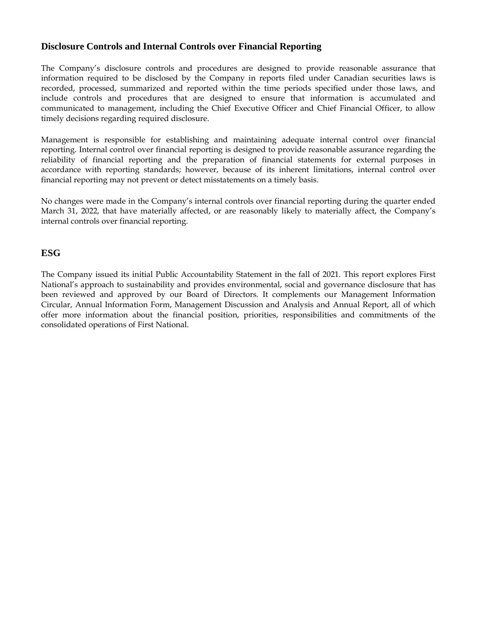## **Disclosure Controls and Internal Controls over Financial Reporting**

The Company's disclosure controls and procedures are designed to provide reasonable assurance that information required to be disclosed by the Company in reports filed under Canadian securities laws is recorded, processed, summarized and reported within the time periods specified under those laws, and include controls and procedures that are designed to ensure that information is accumulated and communicated to management, including the Chief Executive Officer and Chief Financial Officer, to allow timely decisions regarding required disclosure.

Management is responsible for establishing and maintaining adequate internal control over financial reporting. Internal control over financial reporting is designed to provide reasonable assurance regarding the reliability of financial reporting and the preparation of financial statements for external purposes in accordance with reporting standards; however, because of its inherent limitations, internal control over financial reporting may not prevent or detect misstatements on a timely basis.

No changes were made in the Company's internal controls over financial reporting during the quarter ended March 31, 2022, that have materially affected, or are reasonably likely to materially affect, the Company's internal controls over financial reporting.

## **ESG**

The Company issued its initial Public Accountability Statement in the fall of 2021. This report explores First National's approach to sustainability and provides environmental, social and governance disclosure that has been reviewed and approved by our Board of Directors. It complements our Management Information Circular, Annual Information Form, Management Discussion and Analysis and Annual Report, all of which offer more information about the financial position, priorities, responsibilities and commitments of the consolidated operations of First National.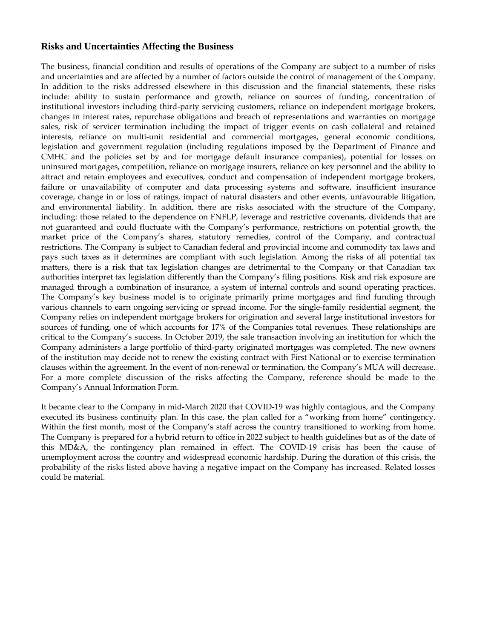## **Risks and Uncertainties Affecting the Business**

The business, financial condition and results of operations of the Company are subject to a number of risks and uncertainties and are affected by a number of factors outside the control of management of the Company. In addition to the risks addressed elsewhere in this discussion and the financial statements, these risks include: ability to sustain performance and growth, reliance on sources of funding, concentration of institutional investors including third-party servicing customers, reliance on independent mortgage brokers, changes in interest rates, repurchase obligations and breach of representations and warranties on mortgage sales, risk of servicer termination including the impact of trigger events on cash collateral and retained interests, reliance on multi-unit residential and commercial mortgages, general economic conditions, legislation and government regulation (including regulations imposed by the Department of Finance and CMHC and the policies set by and for mortgage default insurance companies), potential for losses on uninsured mortgages, competition, reliance on mortgage insurers, reliance on key personnel and the ability to attract and retain employees and executives, conduct and compensation of independent mortgage brokers, failure or unavailability of computer and data processing systems and software, insufficient insurance coverage, change in or loss of ratings, impact of natural disasters and other events, unfavourable litigation, and environmental liability. In addition, there are risks associated with the structure of the Company, including: those related to the dependence on FNFLP, leverage and restrictive covenants, dividends that are not guaranteed and could fluctuate with the Company's performance, restrictions on potential growth, the market price of the Company's shares, statutory remedies, control of the Company, and contractual restrictions. The Company is subject to Canadian federal and provincial income and commodity tax laws and pays such taxes as it determines are compliant with such legislation. Among the risks of all potential tax matters, there is a risk that tax legislation changes are detrimental to the Company or that Canadian tax authorities interpret tax legislation differently than the Company's filing positions. Risk and risk exposure are managed through a combination of insurance, a system of internal controls and sound operating practices. The Company's key business model is to originate primarily prime mortgages and find funding through various channels to earn ongoing servicing or spread income. For the single-family residential segment, the Company relies on independent mortgage brokers for origination and several large institutional investors for sources of funding, one of which accounts for 17% of the Companies total revenues. These relationships are critical to the Company's success. In October 2019, the sale transaction involving an institution for which the Company administers a large portfolio of third-party originated mortgages was completed. The new owners of the institution may decide not to renew the existing contract with First National or to exercise termination clauses within the agreement. In the event of non-renewal or termination, the Company's MUA will decrease. For a more complete discussion of the risks affecting the Company, reference should be made to the Company's Annual Information Form.

It became clear to the Company in mid-March 2020 that COVID-19 was highly contagious, and the Company executed its business continuity plan. In this case, the plan called for a "working from home" contingency. Within the first month, most of the Company's staff across the country transitioned to working from home. The Company is prepared for a hybrid return to office in 2022 subject to health guidelines but as of the date of this MD&A, the contingency plan remained in effect. The COVID-19 crisis has been the cause of unemployment across the country and widespread economic hardship. During the duration of this crisis, the probability of the risks listed above having a negative impact on the Company has increased. Related losses could be material.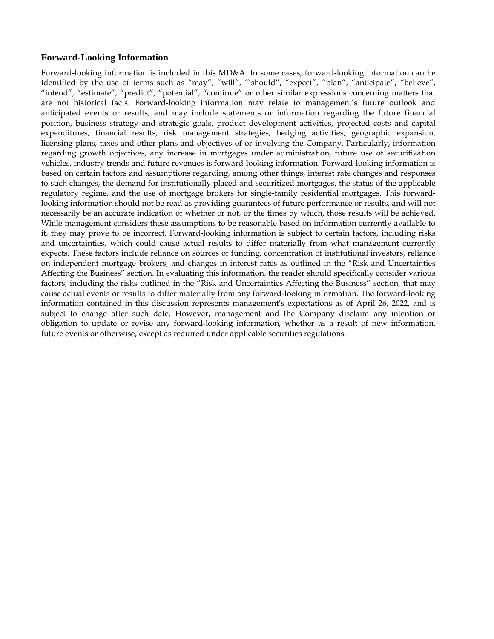#### **Forward-Looking Information**

Forward-looking information is included in this MD&A. In some cases, forward-looking information can be identified by the use of terms such as "may", "will", '"should", "expect", "plan", "anticipate", "believe", "intend", "estimate", "predict", "potential", "continue" or other similar expressions concerning matters that are not historical facts. Forward-looking information may relate to management's future outlook and anticipated events or results, and may include statements or information regarding the future financial position, business strategy and strategic goals, product development activities, projected costs and capital expenditures, financial results, risk management strategies, hedging activities, geographic expansion, licensing plans, taxes and other plans and objectives of or involving the Company. Particularly, information regarding growth objectives, any increase in mortgages under administration, future use of securitization vehicles, industry trends and future revenues is forward-looking information. Forward-looking information is based on certain factors and assumptions regarding, among other things, interest rate changes and responses to such changes, the demand for institutionally placed and securitized mortgages, the status of the applicable regulatory regime, and the use of mortgage brokers for single-family residential mortgages. This forwardlooking information should not be read as providing guarantees of future performance or results, and will not necessarily be an accurate indication of whether or not, or the times by which, those results will be achieved. While management considers these assumptions to be reasonable based on information currently available to it, they may prove to be incorrect. Forward-looking information is subject to certain factors, including risks and uncertainties, which could cause actual results to differ materially from what management currently expects. These factors include reliance on sources of funding, concentration of institutional investors, reliance on independent mortgage brokers, and changes in interest rates as outlined in the "Risk and Uncertainties Affecting the Business" section. In evaluating this information, the reader should specifically consider various factors, including the risks outlined in the "Risk and Uncertainties Affecting the Business" section, that may cause actual events or results to differ materially from any forward-looking information. The forward-looking information contained in this discussion represents management's expectations as of April 26, 2022, and is subject to change after such date. However, management and the Company disclaim any intention or obligation to update or revise any forward-looking information, whether as a result of new information, future events or otherwise, except as required under applicable securities regulations.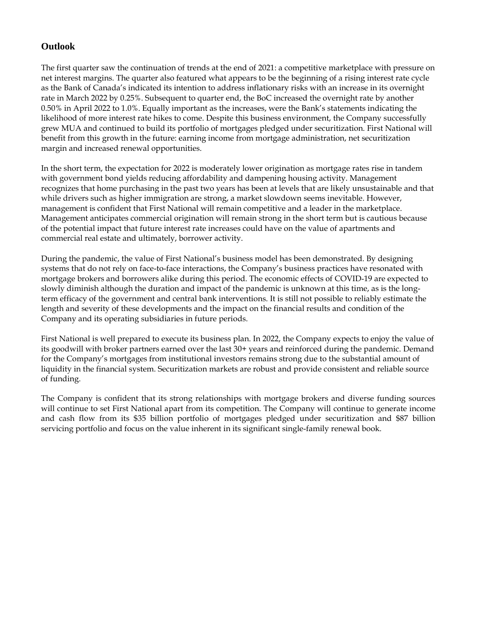## **Outlook**

The first quarter saw the continuation of trends at the end of 2021: a competitive marketplace with pressure on net interest margins. The quarter also featured what appears to be the beginning of a rising interest rate cycle as the Bank of Canada's indicated its intention to address inflationary risks with an increase in its overnight rate in March 2022 by 0.25%. Subsequent to quarter end, the BoC increased the overnight rate by another 0.50% in April 2022 to 1.0%. Equally important as the increases, were the Bank's statements indicating the likelihood of more interest rate hikes to come. Despite this business environment, the Company successfully grew MUA and continued to build its portfolio of mortgages pledged under securitization. First National will benefit from this growth in the future: earning income from mortgage administration, net securitization margin and increased renewal opportunities.

In the short term, the expectation for 2022 is moderately lower origination as mortgage rates rise in tandem with government bond yields reducing affordability and dampening housing activity. Management recognizes that home purchasing in the past two years has been at levels that are likely unsustainable and that while drivers such as higher immigration are strong, a market slowdown seems inevitable. However, management is confident that First National will remain competitive and a leader in the marketplace. Management anticipates commercial origination will remain strong in the short term but is cautious because of the potential impact that future interest rate increases could have on the value of apartments and commercial real estate and ultimately, borrower activity.

During the pandemic, the value of First National's business model has been demonstrated. By designing systems that do not rely on face-to-face interactions, the Company's business practices have resonated with mortgage brokers and borrowers alike during this period. The economic effects of COVID-19 are expected to slowly diminish although the duration and impact of the pandemic is unknown at this time, as is the longterm efficacy of the government and central bank interventions. It is still not possible to reliably estimate the length and severity of these developments and the impact on the financial results and condition of the Company and its operating subsidiaries in future periods.

First National is well prepared to execute its business plan. In 2022, the Company expects to enjoy the value of its goodwill with broker partners earned over the last 30+ years and reinforced during the pandemic. Demand for the Company's mortgages from institutional investors remains strong due to the substantial amount of liquidity in the financial system. Securitization markets are robust and provide consistent and reliable source of funding.

The Company is confident that its strong relationships with mortgage brokers and diverse funding sources will continue to set First National apart from its competition. The Company will continue to generate income and cash flow from its \$35 billion portfolio of mortgages pledged under securitization and \$87 billion servicing portfolio and focus on the value inherent in its significant single-family renewal book.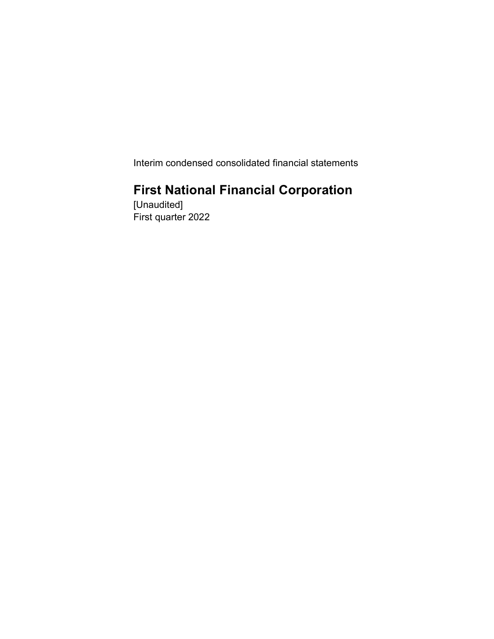Interim condensed consolidated financial statements

## First National Financial Corporation

[Unaudited] First quarter 2022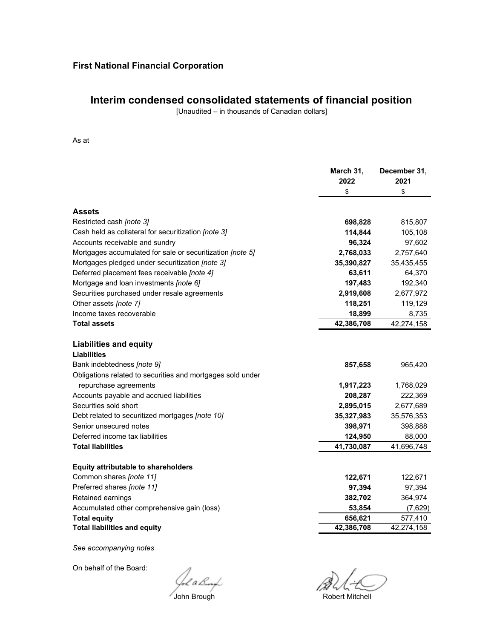## **Interim condensed consolidated statements of financial position**

[Unaudited – in thousands of Canadian dollars]

#### As at

|                                                                    | March 31,<br>2022 | December 31,<br>2021 |
|--------------------------------------------------------------------|-------------------|----------------------|
|                                                                    | \$                | \$                   |
| <b>Assets</b>                                                      |                   |                      |
| Restricted cash [note 3]                                           | 698,828           | 815,807              |
| Cash held as collateral for securitization [note 3]                | 114,844           | 105,108              |
| Accounts receivable and sundry                                     | 96,324            | 97,602               |
| Mortgages accumulated for sale or securitization [note 5]          | 2,768,033         | 2,757,640            |
| Mortgages pledged under securitization [note 3]                    | 35,390,827        | 35,435,455           |
| Deferred placement fees receivable [note 4]                        | 63,611            | 64,370               |
| Mortgage and loan investments [note 6]                             | 197,483           | 192,340              |
| Securities purchased under resale agreements                       | 2,919,608         | 2,677,972            |
| Other assets [note 7]                                              | 118,251           | 119,129              |
| Income taxes recoverable                                           | 18,899            | 8,735                |
| <b>Total assets</b>                                                | 42,386,708        | 42,274,158           |
| <b>Liabilities and equity</b><br>Liabilities                       |                   |                      |
| Bank indebtedness [note 9]                                         | 857,658           | 965,420              |
| Obligations related to securities and mortgages sold under         |                   |                      |
| repurchase agreements                                              | 1,917,223         | 1,768,029            |
| Accounts payable and accrued liabilities                           | 208,287           | 222,369              |
| Securities sold short                                              | 2,895,015         | 2,677,689            |
| Debt related to securitized mortgages [note 10]                    | 35,327,983        | 35,576,353           |
| Senior unsecured notes                                             | 398,971           | 398,888              |
| Deferred income tax liabilities                                    | 124,950           | 88,000               |
| <b>Total liabilities</b>                                           | 41,730,087        | 41,696,748           |
|                                                                    |                   |                      |
| <b>Equity attributable to shareholders</b>                         |                   |                      |
| Common shares [note 11]                                            | 122,671           | 122,671              |
| Preferred shares [note 11]                                         | 97,394            | 97,394               |
| Retained earnings                                                  | 382,702           | 364,974              |
| Accumulated other comprehensive gain (loss)<br><b>Total equity</b> | 53,854<br>656,621 | (7,629)<br>577,410   |
| <b>Total liabilities and equity</b>                                | 42,386,708        | 42,274,158           |
|                                                                    |                   |                      |

*See accompanying notes*

On behalf of the Board:

l a Bung

John Brough **Robert Mitchell**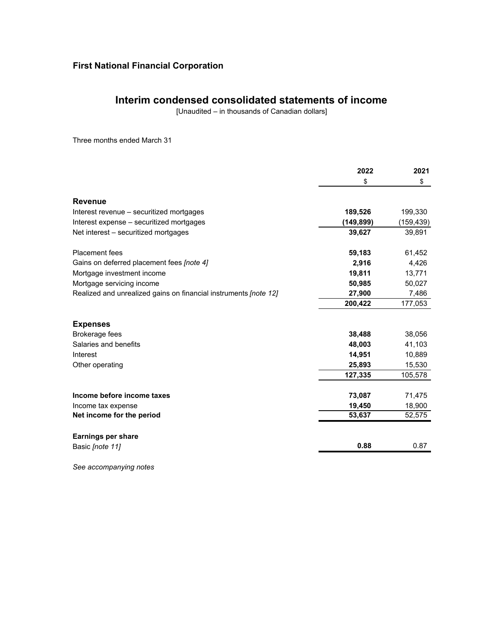## **Interim condensed consolidated statements of income**

[Unaudited – in thousands of Canadian dollars]

Three months ended March 31

|                                                                         | 2022      | 2021      |
|-------------------------------------------------------------------------|-----------|-----------|
|                                                                         | \$        | \$        |
| <b>Revenue</b>                                                          |           |           |
| Interest revenue – securitized mortgages                                | 189,526   | 199,330   |
| Interest expense - securitized mortgages                                | (149,899) | (159,439) |
| Net interest – securitized mortgages                                    | 39,627    | 39,891    |
| <b>Placement</b> fees                                                   | 59,183    | 61,452    |
| Gains on deferred placement fees [note 4]                               | 2,916     | 4,426     |
| Mortgage investment income                                              | 19,811    | 13,771    |
| Mortgage servicing income                                               | 50,985    | 50,027    |
| Realized and unrealized gains on financial instruments <i>[note 12]</i> | 27,900    | 7,486     |
|                                                                         | 200,422   | 177,053   |
| <b>Expenses</b>                                                         |           |           |
| Brokerage fees                                                          | 38,488    | 38,056    |
| Salaries and benefits                                                   | 48,003    | 41,103    |
| Interest                                                                | 14,951    | 10,889    |
| Other operating                                                         | 25,893    | 15,530    |
|                                                                         | 127,335   | 105,578   |
| Income before income taxes                                              | 73,087    | 71,475    |
| Income tax expense                                                      | 19,450    | 18,900    |
| Net income for the period                                               | 53,637    | 52,575    |
| <b>Earnings per share</b>                                               |           |           |
| Basic [note 11]                                                         | 0.88      | 0.87      |

*See accompanying notes*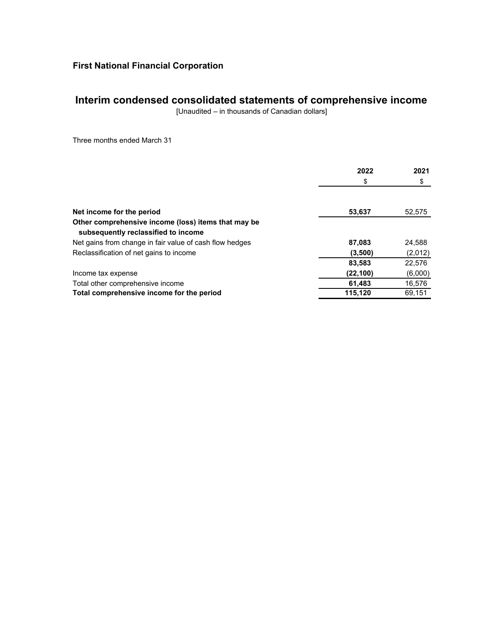## **Interim condensed consolidated statements of comprehensive income**

[Unaudited – in thousands of Canadian dollars]

Three months ended March 31

|                                                                                            | 2022      | 2021    |
|--------------------------------------------------------------------------------------------|-----------|---------|
|                                                                                            | \$        | \$      |
|                                                                                            |           |         |
| Net income for the period                                                                  | 53,637    | 52,575  |
| Other comprehensive income (loss) items that may be<br>subsequently reclassified to income |           |         |
| Net gains from change in fair value of cash flow hedges                                    | 87.083    | 24,588  |
| Reclassification of net gains to income                                                    | (3,500)   | (2,012) |
|                                                                                            | 83,583    | 22,576  |
| Income tax expense                                                                         | (22, 100) | (6,000) |
| Total other comprehensive income                                                           | 61,483    | 16,576  |
| Total comprehensive income for the period                                                  | 115.120   | 69.151  |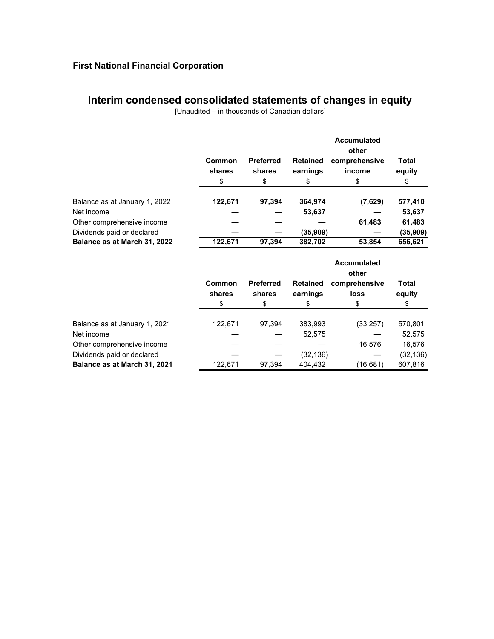## **Interim condensed consolidated statements of changes in equity**

[Unaudited – in thousands of Canadian dollars]

|                               |                  |                            |                             | Accumulated<br>other    |                 |
|-------------------------------|------------------|----------------------------|-----------------------------|-------------------------|-----------------|
|                               | Common<br>shares | <b>Preferred</b><br>shares | <b>Retained</b><br>earnings | comprehensive<br>income | Total<br>equity |
|                               | \$               | \$                         | \$                          | \$                      | \$              |
| Balance as at January 1, 2022 | 122,671          | 97.394                     | 364,974                     | (7,629)                 | 577,410         |
| Net income                    |                  |                            | 53,637                      |                         | 53,637          |
| Other comprehensive income    |                  |                            |                             | 61,483                  | 61,483          |
| Dividends paid or declared    |                  |                            | (35,909)                    |                         | (35,909)        |
| Balance as at March 31, 2022  | 122.671          | 97.394                     | 382,702                     | 53,854                  | 656,621         |

|                               |                  |                            |                             | <b>Accumulated</b><br>other |                 |
|-------------------------------|------------------|----------------------------|-----------------------------|-----------------------------|-----------------|
|                               | Common<br>shares | <b>Preferred</b><br>shares | <b>Retained</b><br>earnings | comprehensive<br>loss       | Total<br>equity |
|                               | \$               | \$                         | \$                          | \$                          | \$              |
| Balance as at January 1, 2021 | 122,671          | 97.394                     | 383,993                     | (33, 257)                   | 570,801         |
| Net income                    |                  |                            | 52,575                      |                             | 52,575          |
| Other comprehensive income    |                  |                            |                             | 16,576                      | 16,576          |
| Dividends paid or declared    |                  |                            | (32,136)                    |                             | (32,136)        |
| Balance as at March 31, 2021  | 122,671          | 97.394                     | 404,432                     | (16,681)                    | 607.816         |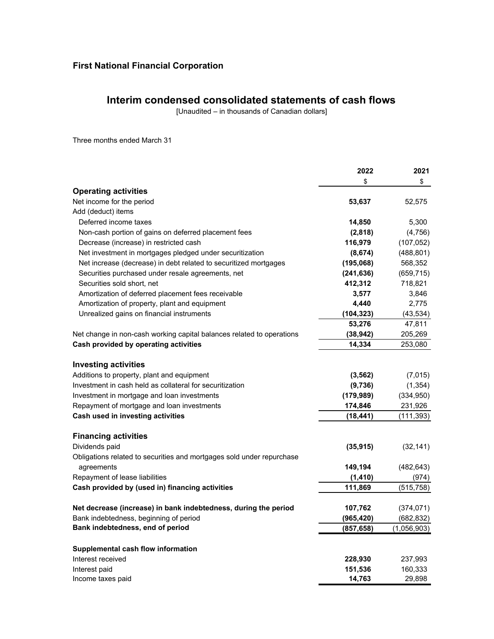## **Interim condensed consolidated statements of cash flows**

[Unaudited – in thousands of Canadian dollars]

Three months ended March 31

|                                                                       | 2022       | 2021        |
|-----------------------------------------------------------------------|------------|-------------|
|                                                                       | \$         | \$          |
| <b>Operating activities</b>                                           |            |             |
| Net income for the period                                             | 53,637     | 52,575      |
| Add (deduct) items                                                    |            |             |
| Deferred income taxes                                                 | 14,850     | 5,300       |
| Non-cash portion of gains on deferred placement fees                  | (2,818)    | (4, 756)    |
| Decrease (increase) in restricted cash                                | 116,979    | (107, 052)  |
| Net investment in mortgages pledged under securitization              | (8,674)    | (488, 801)  |
| Net increase (decrease) in debt related to securitized mortgages      | (195,068)  | 568,352     |
| Securities purchased under resale agreements, net                     | (241, 636) | (659, 715)  |
| Securities sold short, net                                            | 412,312    | 718,821     |
| Amortization of deferred placement fees receivable                    | 3,577      | 3,846       |
| Amortization of property, plant and equipment                         | 4,440      | 2,775       |
| Unrealized gains on financial instruments                             | (104, 323) | (43, 534)   |
|                                                                       | 53,276     | 47,811      |
| Net change in non-cash working capital balances related to operations | (38, 942)  | 205,269     |
| Cash provided by operating activities                                 | 14,334     | 253,080     |
|                                                                       |            |             |
| <b>Investing activities</b>                                           |            |             |
| Additions to property, plant and equipment                            | (3, 562)   | (7,015)     |
| Investment in cash held as collateral for securitization              | (9,736)    | (1, 354)    |
| Investment in mortgage and loan investments                           | (179, 989) | (334, 950)  |
| Repayment of mortgage and loan investments                            | 174,846    | 231,926     |
| Cash used in investing activities                                     | (18, 441)  | (111, 393)  |
|                                                                       |            |             |
| <b>Financing activities</b>                                           |            |             |
| Dividends paid                                                        | (35, 915)  | (32, 141)   |
| Obligations related to securities and mortgages sold under repurchase |            |             |
| agreements                                                            | 149,194    | (482, 643)  |
| Repayment of lease liabilities                                        | (1, 410)   | (974)       |
| Cash provided by (used in) financing activities                       | 111,869    | (515,758)   |
|                                                                       |            |             |
| Net decrease (increase) in bank indebtedness, during the period       | 107,762    | (374, 071)  |
| Bank indebtedness, beginning of period                                | (965, 420) | (682, 832)  |
| Bank indebtedness, end of period                                      | (857, 658) | (1,056,903) |
|                                                                       |            |             |
| Supplemental cash flow information                                    |            |             |
| Interest received                                                     | 228,930    | 237,993     |
| Interest paid                                                         | 151,536    | 160,333     |
| Income taxes paid                                                     | 14,763     | 29,898      |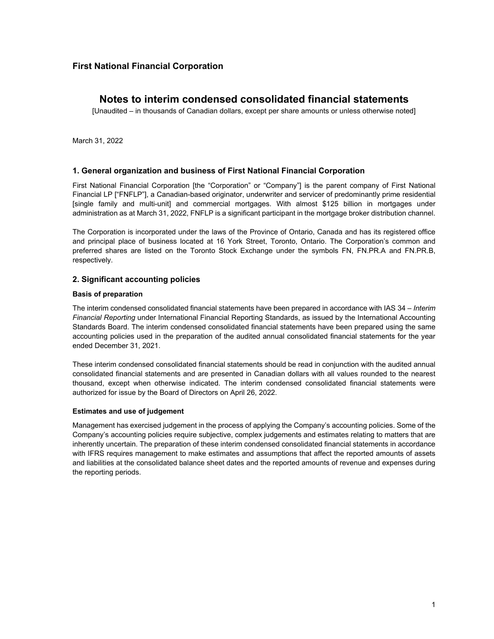## **Notes to interim condensed consolidated financial statements**

[Unaudited – in thousands of Canadian dollars, except per share amounts or unless otherwise noted]

March 31, 2022

#### **1. General organization and business of First National Financial Corporation**

First National Financial Corporation [the "Corporation" or "Company"] is the parent company of First National Financial LP ["FNFLP"], a Canadian-based originator, underwriter and servicer of predominantly prime residential [single family and multi-unit] and commercial mortgages. With almost \$125 billion in mortgages under administration as at March 31, 2022, FNFLP is a significant participant in the mortgage broker distribution channel.

The Corporation is incorporated under the laws of the Province of Ontario, Canada and has its registered office and principal place of business located at 16 York Street, Toronto, Ontario. The Corporation's common and preferred shares are listed on the Toronto Stock Exchange under the symbols FN, FN.PR.A and FN.PR.B, respectively.

#### **2. Significant accounting policies**

#### **Basis of preparation**

The interim condensed consolidated financial statements have been prepared in accordance with IAS 34 – *Interim Financial Reporting* under International Financial Reporting Standards, as issued by the International Accounting Standards Board. The interim condensed consolidated financial statements have been prepared using the same accounting policies used in the preparation of the audited annual consolidated financial statements for the year ended December 31, 2021.

These interim condensed consolidated financial statements should be read in conjunction with the audited annual consolidated financial statements and are presented in Canadian dollars with all values rounded to the nearest thousand, except when otherwise indicated. The interim condensed consolidated financial statements were authorized for issue by the Board of Directors on April 26, 2022.

#### **Estimates and use of judgement**

Management has exercised judgement in the process of applying the Company's accounting policies. Some of the Company's accounting policies require subjective, complex judgements and estimates relating to matters that are inherently uncertain. The preparation of these interim condensed consolidated financial statements in accordance with IFRS requires management to make estimates and assumptions that affect the reported amounts of assets and liabilities at the consolidated balance sheet dates and the reported amounts of revenue and expenses during the reporting periods.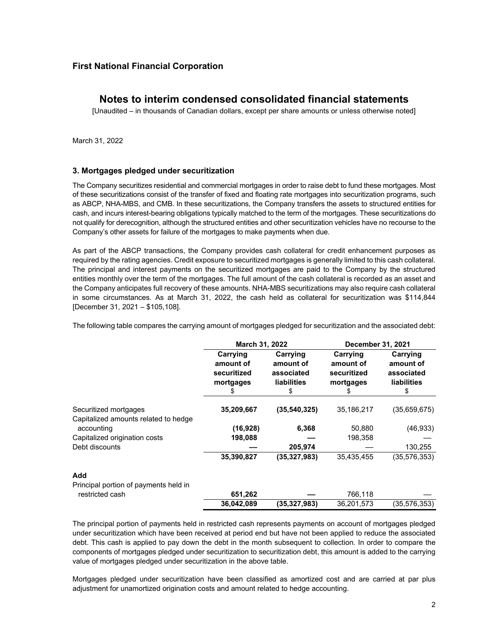## **Notes to interim condensed consolidated financial statements**

[Unaudited – in thousands of Canadian dollars, except per share amounts or unless otherwise noted]

March 31, 2022

#### **3. Mortgages pledged under securitization**

The Company securitizes residential and commercial mortgages in order to raise debt to fund these mortgages. Most of these securitizations consist of the transfer of fixed and floating rate mortgages into securitization programs, such as ABCP, NHA-MBS, and CMB. In these securitizations, the Company transfers the assets to structured entities for cash, and incurs interest-bearing obligations typically matched to the term of the mortgages. These securitizations do not qualify for derecognition, although the structured entities and other securitization vehicles have no recourse to the Company's other assets for failure of the mortgages to make payments when due.

As part of the ABCP transactions, the Company provides cash collateral for credit enhancement purposes as required by the rating agencies. Credit exposure to securitized mortgages is generally limited to this cash collateral. The principal and interest payments on the securitized mortgages are paid to the Company by the structured entities monthly over the term of the mortgages. The full amount of the cash collateral is recorded as an asset and the Company anticipates full recovery of these amounts. NHA-MBS securitizations may also require cash collateral in some circumstances. As at March 31, 2022, the cash held as collateral for securitization was \$114,844 [December 31, 2021 – \$105,108].

|  |  |  | The following table compares the carrying amount of mortgages pledged for securitization and the associated debt: |
|--|--|--|-------------------------------------------------------------------------------------------------------------------|
|--|--|--|-------------------------------------------------------------------------------------------------------------------|

|                                                               | March 31, 2022                                    |                                                           | December 31, 2021                                 |                                                           |  |
|---------------------------------------------------------------|---------------------------------------------------|-----------------------------------------------------------|---------------------------------------------------|-----------------------------------------------------------|--|
|                                                               | Carrying<br>amount of<br>securitized<br>mortgages | Carrying<br>amount of<br>associated<br><b>liabilities</b> | Carrying<br>amount of<br>securitized<br>mortgages | Carrying<br>amount of<br>associated<br><b>liabilities</b> |  |
| Securitized mortgages<br>Capitalized amounts related to hedge | 35,209,667                                        | (35, 540, 325)                                            | 35,186,217                                        | (35,659,675)                                              |  |
| accounting                                                    | (16, 928)                                         | 6,368                                                     | 50,880                                            | (46, 933)                                                 |  |
| Capitalized origination costs                                 | 198,088                                           |                                                           | 198,358                                           |                                                           |  |
| Debt discounts                                                |                                                   | 205,974                                                   |                                                   | 130,255                                                   |  |
|                                                               | 35,390,827                                        | (35, 327, 983)                                            | 35,435,455                                        | (35, 576, 353)                                            |  |
| Add                                                           |                                                   |                                                           |                                                   |                                                           |  |
| Principal portion of payments held in                         |                                                   |                                                           |                                                   |                                                           |  |
| restricted cash                                               | 651,262                                           |                                                           | 766,118                                           |                                                           |  |
|                                                               | 36,042,089                                        | (35,327,983)                                              | 36,201,573                                        | (35.576.353)                                              |  |

The principal portion of payments held in restricted cash represents payments on account of mortgages pledged under securitization which have been received at period end but have not been applied to reduce the associated debt. This cash is applied to pay down the debt in the month subsequent to collection. In order to compare the components of mortgages pledged under securitization to securitization debt, this amount is added to the carrying value of mortgages pledged under securitization in the above table.

Mortgages pledged under securitization have been classified as amortized cost and are carried at par plus adjustment for unamortized origination costs and amount related to hedge accounting.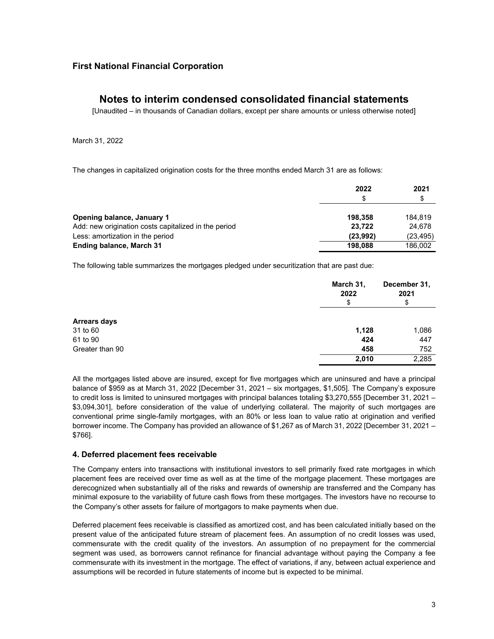## **Notes to interim condensed consolidated financial statements**

[Unaudited – in thousands of Canadian dollars, except per share amounts or unless otherwise noted]

March 31, 2022

The changes in capitalized origination costs for the three months ended March 31 are as follows:

|                                                      | 2022<br>S | 2021<br>S |
|------------------------------------------------------|-----------|-----------|
|                                                      |           |           |
| Opening balance, January 1                           | 198.358   | 184.819   |
| Add: new origination costs capitalized in the period | 23.722    | 24.678    |
| Less: amortization in the period                     | (23,992)  | (23, 495) |
| Ending balance, March 31                             | 198.088   | 186,002   |

The following table summarizes the mortgages pledged under securitization that are past due:

|                     | March 31,<br>2022<br>\$ | December 31,<br>2021<br>\$ |
|---------------------|-------------------------|----------------------------|
| <b>Arrears days</b> |                         |                            |
| 31 to 60            | 1,128                   | 1,086                      |
| 61 to 90            | 424                     | 447                        |
| Greater than 90     | 458                     | 752                        |
|                     | 2,010                   | 2,285                      |

All the mortgages listed above are insured, except for five mortgages which are uninsured and have a principal balance of \$959 as at March 31, 2022 [December 31, 2021 – six mortgages, \$1,505]. The Company's exposure to credit loss is limited to uninsured mortgages with principal balances totaling \$3,270,555 [December 31, 2021 – \$3,094,301], before consideration of the value of underlying collateral. The majority of such mortgages are conventional prime single-family mortgages, with an 80% or less loan to value ratio at origination and verified borrower income. The Company has provided an allowance of \$1,267 as of March 31, 2022 [December 31, 2021 – \$766].

#### **4. Deferred placement fees receivable**

The Company enters into transactions with institutional investors to sell primarily fixed rate mortgages in which placement fees are received over time as well as at the time of the mortgage placement. These mortgages are derecognized when substantially all of the risks and rewards of ownership are transferred and the Company has minimal exposure to the variability of future cash flows from these mortgages. The investors have no recourse to the Company's other assets for failure of mortgagors to make payments when due.

Deferred placement fees receivable is classified as amortized cost, and has been calculated initially based on the present value of the anticipated future stream of placement fees. An assumption of no credit losses was used, commensurate with the credit quality of the investors. An assumption of no prepayment for the commercial segment was used, as borrowers cannot refinance for financial advantage without paying the Company a fee commensurate with its investment in the mortgage. The effect of variations, if any, between actual experience and assumptions will be recorded in future statements of income but is expected to be minimal.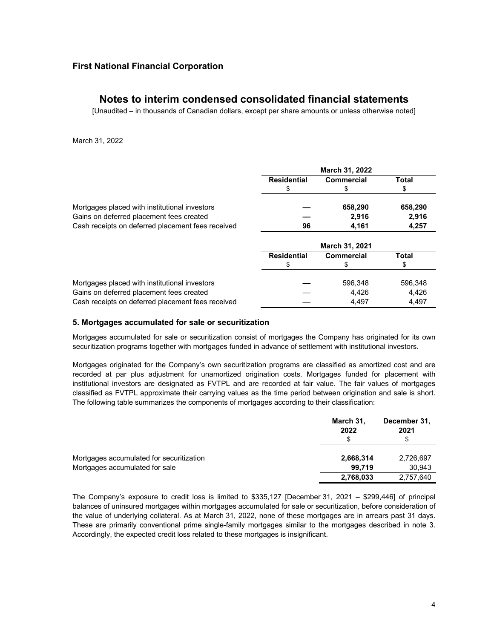## **Notes to interim condensed consolidated financial statements**

[Unaudited – in thousands of Canadian dollars, except per share amounts or unless otherwise noted]

#### March 31, 2022

|                                                   | March 31, 2022     |                   |         |  |
|---------------------------------------------------|--------------------|-------------------|---------|--|
|                                                   | <b>Residential</b> | Commercial        | Total   |  |
|                                                   |                    |                   | S       |  |
| Mortgages placed with institutional investors     |                    | 658,290           | 658,290 |  |
| Gains on deferred placement fees created          |                    | 2,916             | 2,916   |  |
| Cash receipts on deferred placement fees received | 96                 | 4,161             | 4,257   |  |
|                                                   | March 31, 2021     |                   |         |  |
|                                                   | <b>Residential</b> | <b>Commercial</b> | Total   |  |
|                                                   |                    |                   |         |  |
| Mortgages placed with institutional investors     |                    | 596.348           | 596.348 |  |
| Gains on deferred placement fees created          |                    | 4,426             | 4,426   |  |
| Cash receipts on deferred placement fees received |                    | 4.497             | 4.497   |  |

#### **5. Mortgages accumulated for sale or securitization**

Mortgages accumulated for sale or securitization consist of mortgages the Company has originated for its own securitization programs together with mortgages funded in advance of settlement with institutional investors.

Mortgages originated for the Company's own securitization programs are classified as amortized cost and are recorded at par plus adjustment for unamortized origination costs. Mortgages funded for placement with institutional investors are designated as FVTPL and are recorded at fair value. The fair values of mortgages classified as FVTPL approximate their carrying values as the time period between origination and sale is short. The following table summarizes the components of mortgages according to their classification:

|                                          | March 31,<br>2022<br>S | December 31,<br>2021 |
|------------------------------------------|------------------------|----------------------|
| Mortgages accumulated for securitization | 2,668,314              | 2,726,697            |
| Mortgages accumulated for sale           | 99.719                 | 30,943               |
|                                          | 2,768,033              | 2,757,640            |

The Company's exposure to credit loss is limited to \$335,127 [December 31, 2021 – \$299,446] of principal balances of uninsured mortgages within mortgages accumulated for sale or securitization, before consideration of the value of underlying collateral. As at March 31, 2022, none of these mortgages are in arrears past 31 days. These are primarily conventional prime single-family mortgages similar to the mortgages described in note 3. Accordingly, the expected credit loss related to these mortgages is insignificant.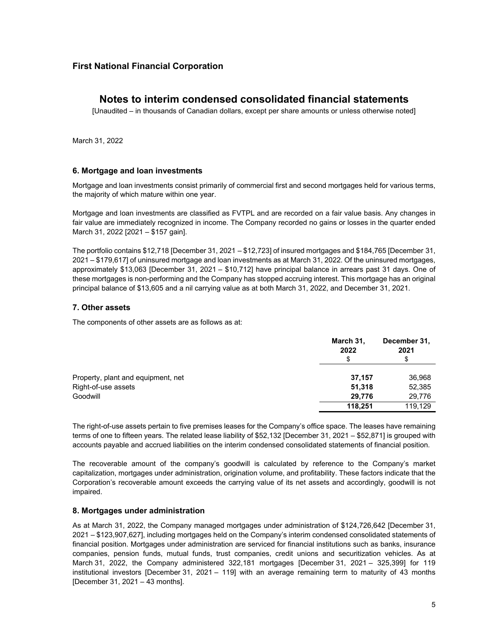## **Notes to interim condensed consolidated financial statements**

[Unaudited – in thousands of Canadian dollars, except per share amounts or unless otherwise noted]

March 31, 2022

#### **6. Mortgage and loan investments**

Mortgage and loan investments consist primarily of commercial first and second mortgages held for various terms, the majority of which mature within one year.

Mortgage and loan investments are classified as FVTPL and are recorded on a fair value basis. Any changes in fair value are immediately recognized in income. The Company recorded no gains or losses in the quarter ended March 31, 2022 [2021 - \$157 gain].

The portfolio contains \$12,718 [December 31, 2021 ‒ \$12,723] of insured mortgages and \$184,765 [December 31, 2021 ‒ \$179,617] of uninsured mortgage and loan investments as at March 31, 2022. Of the uninsured mortgages, approximately \$13,063 [December 31, 2021 ‒ \$10,712] have principal balance in arrears past 31 days. One of these mortgages is non-performing and the Company has stopped accruing interest. This mortgage has an original principal balance of \$13,605 and a nil carrying value as at both March 31, 2022, and December 31, 2021.

#### **7. Other assets**

The components of other assets are as follows as at:

|                                    | March 31,<br>2022<br>\$ | December 31,<br>2021<br>\$ |
|------------------------------------|-------------------------|----------------------------|
| Property, plant and equipment, net | 37.157                  | 36,968                     |
| Right-of-use assets                | 51,318                  | 52,385                     |
| Goodwill                           | 29.776                  | 29,776                     |
|                                    | 118,251                 | 119,129                    |

The right-of-use assets pertain to five premises leases for the Company's office space. The leases have remaining terms of one to fifteen years. The related lease liability of \$52,132 [December 31, 2021 – \$52,871] is grouped with accounts payable and accrued liabilities on the interim condensed consolidated statements of financial position.

The recoverable amount of the company's goodwill is calculated by reference to the Company's market capitalization, mortgages under administration, origination volume, and profitability. These factors indicate that the Corporation's recoverable amount exceeds the carrying value of its net assets and accordingly, goodwill is not impaired.

#### **8. Mortgages under administration**

As at March 31, 2022, the Company managed mortgages under administration of \$124,726,642 [December 31, 2021 – \$123,907,627], including mortgages held on the Company's interim condensed consolidated statements of financial position. Mortgages under administration are serviced for financial institutions such as banks, insurance companies, pension funds, mutual funds, trust companies, credit unions and securitization vehicles. As at March 31, 2022, the Company administered 322,181 mortgages [December 31, 2021 – 325,399] for 119 institutional investors [December 31, 2021 – 119] with an average remaining term to maturity of 43 months [December 31, 2021 – 43 months].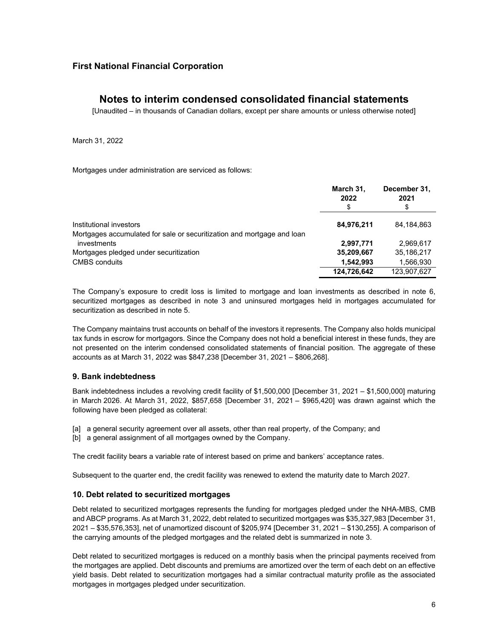## **Notes to interim condensed consolidated financial statements**

[Unaudited – in thousands of Canadian dollars, except per share amounts or unless otherwise noted]

March 31, 2022

Mortgages under administration are serviced as follows:

|                                                                        | March 31,<br>2022<br>\$ | December 31,<br>2021<br>\$ |
|------------------------------------------------------------------------|-------------------------|----------------------------|
| Institutional investors                                                | 84,976,211              | 84,184,863                 |
| Mortgages accumulated for sale or securitization and mortgage and loan |                         |                            |
| investments                                                            | 2,997,771               | 2.969.617                  |
| Mortgages pledged under securitization                                 | 35,209,667              | 35,186,217                 |
| CMBS conduits                                                          | 1,542,993               | 1,566,930                  |
|                                                                        | 124.726.642             | 123.907.627                |

The Company's exposure to credit loss is limited to mortgage and loan investments as described in note 6, securitized mortgages as described in note 3 and uninsured mortgages held in mortgages accumulated for securitization as described in note 5.

The Company maintains trust accounts on behalf of the investors it represents. The Company also holds municipal tax funds in escrow for mortgagors. Since the Company does not hold a beneficial interest in these funds, they are not presented on the interim condensed consolidated statements of financial position. The aggregate of these accounts as at March 31, 2022 was \$847,238 [December 31, 2021 – \$806,268].

#### **9. Bank indebtedness**

Bank indebtedness includes a revolving credit facility of \$1,500,000 [December 31, 2021 – \$1,500,000] maturing in March 2026. At March 31, 2022, \$857,658 [December 31, 2021 – \$965,420] was drawn against which the following have been pledged as collateral:

- [a] a general security agreement over all assets, other than real property, of the Company; and
- [b] a general assignment of all mortgages owned by the Company.

The credit facility bears a variable rate of interest based on prime and bankers' acceptance rates.

Subsequent to the quarter end, the credit facility was renewed to extend the maturity date to March 2027.

#### **10. Debt related to securitized mortgages**

Debt related to securitized mortgages represents the funding for mortgages pledged under the NHA-MBS, CMB and ABCP programs. As at March 31, 2022, debt related to securitized mortgages was \$35,327,983 [December 31, 2021 – \$35,576,353], net of unamortized discount of \$205,974 [December 31, 2021 – \$130,255]. A comparison of the carrying amounts of the pledged mortgages and the related debt is summarized in note 3.

Debt related to securitized mortgages is reduced on a monthly basis when the principal payments received from the mortgages are applied. Debt discounts and premiums are amortized over the term of each debt on an effective yield basis. Debt related to securitization mortgages had a similar contractual maturity profile as the associated mortgages in mortgages pledged under securitization.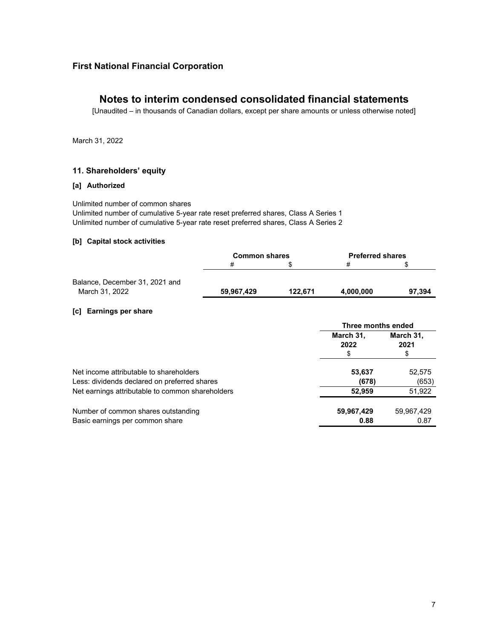## **Notes to interim condensed consolidated financial statements**

[Unaudited – in thousands of Canadian dollars, except per share amounts or unless otherwise noted]

March 31, 2022

#### **11. Shareholders' equity**

#### **[a] Authorized**

Unlimited number of common shares

Unlimited number of cumulative 5-year rate reset preferred shares, Class A Series 1 Unlimited number of cumulative 5-year rate reset preferred shares, Class A Series 2

#### **[b] Capital stock activities**

|                                | <b>Common shares</b> |         | <b>Preferred shares</b> |        |
|--------------------------------|----------------------|---------|-------------------------|--------|
|                                | #                    |         | ᇁ                       |        |
|                                |                      |         |                         |        |
| Balance, December 31, 2021 and |                      |         |                         |        |
| March 31, 2022                 | 59,967,429           | 122.671 | 4,000,000               | 97.394 |

#### **[c] Earnings per share**

|                                                                                         | Three months ended      |                         |
|-----------------------------------------------------------------------------------------|-------------------------|-------------------------|
|                                                                                         | March 31,<br>2022<br>\$ | March 31,<br>2021<br>\$ |
| Net income attributable to shareholders<br>Less: dividends declared on preferred shares | 53,637<br>(678)         | 52,575<br>(653)         |
| Net earnings attributable to common shareholders                                        | 52,959                  | 51,922                  |
| Number of common shares outstanding<br>Basic earnings per common share                  | 59,967,429<br>0.88      | 59,967,429<br>0.87      |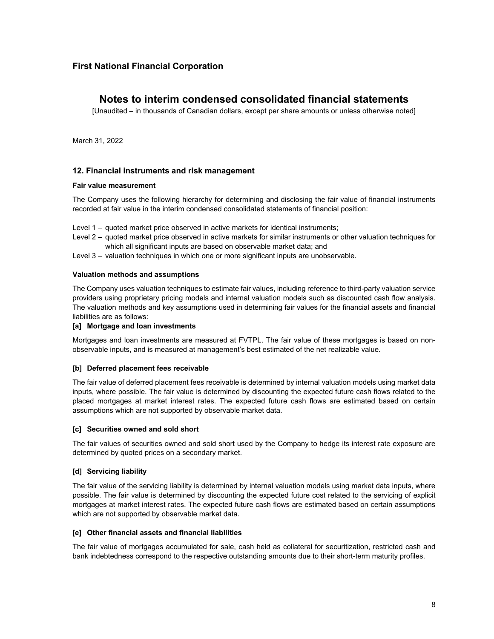## **Notes to interim condensed consolidated financial statements**

[Unaudited – in thousands of Canadian dollars, except per share amounts or unless otherwise noted]

March 31, 2022

#### **12. Financial instruments and risk management**

#### **Fair value measurement**

The Company uses the following hierarchy for determining and disclosing the fair value of financial instruments recorded at fair value in the interim condensed consolidated statements of financial position:

- Level 1 quoted market price observed in active markets for identical instruments;
- Level 2 quoted market price observed in active markets for similar instruments or other valuation techniques for which all significant inputs are based on observable market data; and
- Level 3 valuation techniques in which one or more significant inputs are unobservable.

#### **Valuation methods and assumptions**

The Company uses valuation techniques to estimate fair values, including reference to third-party valuation service providers using proprietary pricing models and internal valuation models such as discounted cash flow analysis. The valuation methods and key assumptions used in determining fair values for the financial assets and financial liabilities are as follows:

#### **[a] Mortgage and loan investments**

Mortgages and loan investments are measured at FVTPL. The fair value of these mortgages is based on nonobservable inputs, and is measured at management's best estimated of the net realizable value.

#### **[b] Deferred placement fees receivable**

The fair value of deferred placement fees receivable is determined by internal valuation models using market data inputs, where possible. The fair value is determined by discounting the expected future cash flows related to the placed mortgages at market interest rates. The expected future cash flows are estimated based on certain assumptions which are not supported by observable market data.

#### **[c] Securities owned and sold short**

The fair values of securities owned and sold short used by the Company to hedge its interest rate exposure are determined by quoted prices on a secondary market.

#### **[d] Servicing liability**

The fair value of the servicing liability is determined by internal valuation models using market data inputs, where possible. The fair value is determined by discounting the expected future cost related to the servicing of explicit mortgages at market interest rates. The expected future cash flows are estimated based on certain assumptions which are not supported by observable market data.

#### **[e] Other financial assets and financial liabilities**

The fair value of mortgages accumulated for sale, cash held as collateral for securitization, restricted cash and bank indebtedness correspond to the respective outstanding amounts due to their short-term maturity profiles.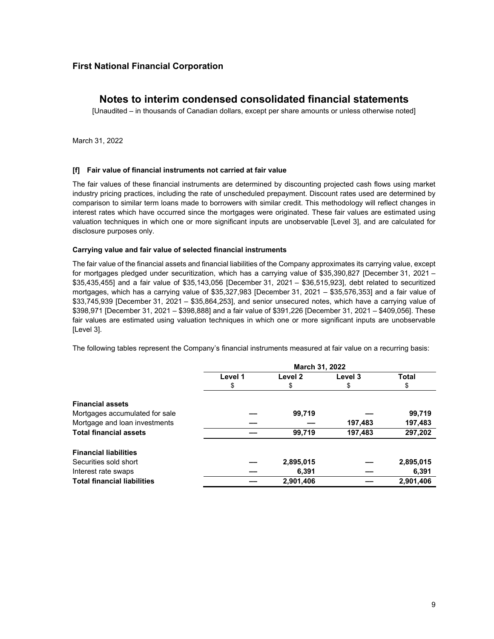## **Notes to interim condensed consolidated financial statements**

[Unaudited – in thousands of Canadian dollars, except per share amounts or unless otherwise noted]

March 31, 2022

#### **[f] Fair value of financial instruments not carried at fair value**

The fair values of these financial instruments are determined by discounting projected cash flows using market industry pricing practices, including the rate of unscheduled prepayment. Discount rates used are determined by comparison to similar term loans made to borrowers with similar credit. This methodology will reflect changes in interest rates which have occurred since the mortgages were originated. These fair values are estimated using valuation techniques in which one or more significant inputs are unobservable [Level 3], and are calculated for disclosure purposes only.

#### **Carrying value and fair value of selected financial instruments**

The fair value of the financial assets and financial liabilities of the Company approximates its carrying value, except for mortgages pledged under securitization, which has a carrying value of \$35,390,827 [December 31, 2021 – \$35,435,455] and a fair value of \$35,143,056 [December 31, 2021 – \$36,515,923], debt related to securitized mortgages, which has a carrying value of \$35,327,983 [December 31, 2021 – \$35,576,353] and a fair value of \$33,745,939 [December 31, 2021 – \$35,864,253], and senior unsecured notes, which have a carrying value of \$398,971 [December 31, 2021 – \$398,888] and a fair value of \$391,226 [December 31, 2021 – \$409,056]. These fair values are estimated using valuation techniques in which one or more significant inputs are unobservable [Level 3].

The following tables represent the Company's financial instruments measured at fair value on a recurring basis:

|                                    | March 31, 2022 |                    |         |              |
|------------------------------------|----------------|--------------------|---------|--------------|
|                                    | Level 1        | Level <sub>2</sub> | Level 3 | <b>Total</b> |
|                                    | \$             | \$                 | \$      | \$           |
| <b>Financial assets</b>            |                |                    |         |              |
| Mortgages accumulated for sale     |                | 99,719             |         | 99,719       |
| Mortgage and loan investments      |                |                    | 197,483 | 197,483      |
| <b>Total financial assets</b>      |                | 99,719             | 197,483 | 297,202      |
| <b>Financial liabilities</b>       |                |                    |         |              |
| Securities sold short              |                | 2,895,015          |         | 2,895,015    |
| Interest rate swaps                |                | 6,391              |         | 6,391        |
| <b>Total financial liabilities</b> |                | 2,901,406          |         | 2,901,406    |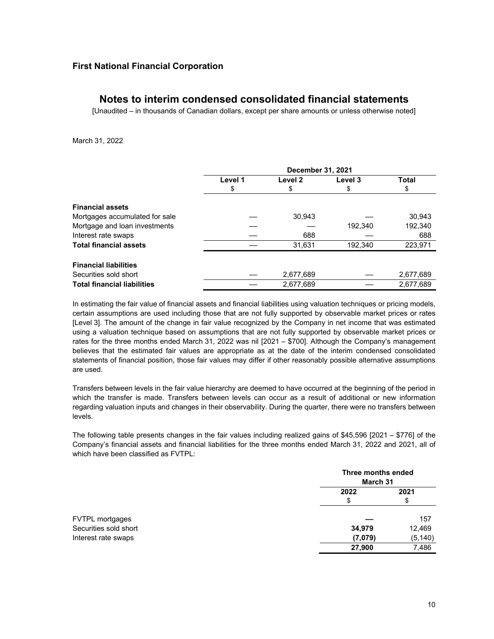## **Notes to interim condensed consolidated financial statements**

[Unaudited – in thousands of Canadian dollars, except per share amounts or unless otherwise noted]

March 31, 2022

|                                    | December 31, 2021 |           |         |              |
|------------------------------------|-------------------|-----------|---------|--------------|
|                                    | Level 1           | Level 2   | Level 3 | <b>Total</b> |
|                                    | \$                | \$        | \$      | \$           |
| <b>Financial assets</b>            |                   |           |         |              |
| Mortgages accumulated for sale     |                   | 30,943    |         | 30,943       |
| Mortgage and loan investments      |                   |           | 192.340 | 192,340      |
| Interest rate swaps                |                   | 688       |         | 688          |
| <b>Total financial assets</b>      |                   | 31.631    | 192,340 | 223,971      |
| <b>Financial liabilities</b>       |                   |           |         |              |
| Securities sold short              |                   | 2,677,689 |         | 2,677,689    |
| <b>Total financial liabilities</b> |                   | 2,677,689 |         | 2,677,689    |

In estimating the fair value of financial assets and financial liabilities using valuation techniques or pricing models, certain assumptions are used including those that are not fully supported by observable market prices or rates [Level 3]. The amount of the change in fair value recognized by the Company in net income that was estimated using a valuation technique based on assumptions that are not fully supported by observable market prices or rates for the three months ended March 31, 2022 was nil [2021 – \$700]. Although the Company's management believes that the estimated fair values are appropriate as at the date of the interim condensed consolidated statements of financial position, those fair values may differ if other reasonably possible alternative assumptions are used.

Transfers between levels in the fair value hierarchy are deemed to have occurred at the beginning of the period in which the transfer is made. Transfers between levels can occur as a result of additional or new information regarding valuation inputs and changes in their observability. During the quarter, there were no transfers between levels.

The following table presents changes in the fair values including realized gains of \$45,596 [2021 – \$776] of the Company's financial assets and financial liabilities for the three months ended March 31, 2022 and 2021, all of which have been classified as FVTPL:

|                       | Three months ended<br>March 31 |          |
|-----------------------|--------------------------------|----------|
|                       | 2022                           | 2021     |
|                       | \$                             | \$       |
| FVTPL mortgages       |                                | 157      |
| Securities sold short | 34,979                         | 12,469   |
| Interest rate swaps   | (7,079)                        | (5, 140) |
|                       | 27,900                         | 7,486    |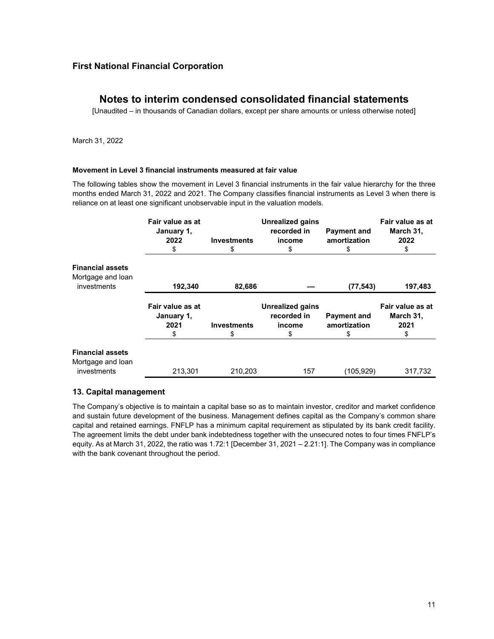## **Notes to interim condensed consolidated financial statements**

[Unaudited – in thousands of Canadian dollars, except per share amounts or unless otherwise noted]

March 31, 2022

#### **Movement in Level 3 financial instruments measured at fair value**

The following tables show the movement in Level 3 financial instruments in the fair value hierarchy for the three months ended March 31, 2022 and 2021. The Company classifies financial instruments as Level 3 when there is reliance on at least one significant unobservable input in the valuation models.

|                                                                    | Fair value as at<br>January 1,<br>2022<br>\$ | <b>Investments</b><br>\$ | <b>Unrealized gains</b><br>recorded in<br>income<br>\$ | <b>Payment and</b><br>amortization | Fair value as at<br>March 31,<br>2022<br>\$ |
|--------------------------------------------------------------------|----------------------------------------------|--------------------------|--------------------------------------------------------|------------------------------------|---------------------------------------------|
| <b>Financial assets</b><br>Mortgage and loan<br><i>investments</i> | 192,340                                      | 82,686                   |                                                        | (77, 543)                          | 197,483                                     |
|                                                                    | Fair value as at<br>January 1,<br>2021<br>S  | <b>Investments</b><br>\$ | <b>Unrealized gains</b><br>recorded in<br>income<br>S  | <b>Payment and</b><br>amortization | Fair value as at<br>March 31,<br>2021<br>\$ |
| <b>Financial assets</b><br>Mortgage and loan<br>investments        | 213,301                                      | 210,203                  | 157                                                    | (105,929)                          | 317,732                                     |

#### **13. Capital management**

The Company's objective is to maintain a capital base so as to maintain investor, creditor and market confidence and sustain future development of the business. Management defines capital as the Company's common share capital and retained earnings. FNFLP has a minimum capital requirement as stipulated by its bank credit facility. The agreement limits the debt under bank indebtedness together with the unsecured notes to four times FNFLP's equity. As at March 31, 2022, the ratio was 1.72:1 [December 31, 2021 – 2.21:1]. The Company was in compliance with the bank covenant throughout the period.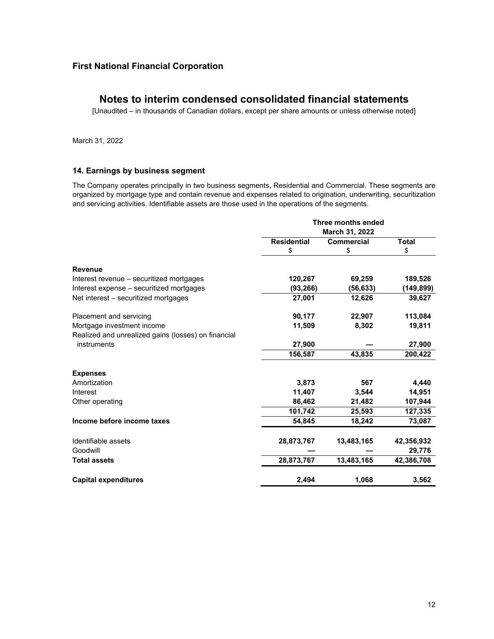## **Notes to interim condensed consolidated financial statements**

[Unaudited – in thousands of Canadian dollars, except per share amounts or unless otherwise noted]

March 31, 2022

#### **14. Earnings by business segment**

The Company operates principally in two business segments, Residential and Commercial. These segments are organized by mortgage type and contain revenue and expenses related to origination, underwriting, securitization and servicing activities. Identifiable assets are those used in the operations of the segments.

|                                                     | Three months ended<br>March 31, 2022 |                   |              |
|-----------------------------------------------------|--------------------------------------|-------------------|--------------|
|                                                     | <b>Residential</b>                   | <b>Commercial</b> | <b>Total</b> |
|                                                     | \$                                   | \$                | \$           |
| <b>Revenue</b>                                      |                                      |                   |              |
| Interest revenue - securitized mortgages            | 120,267                              | 69,259            | 189,526      |
| Interest expense - securitized mortgages            | (93, 266)                            | (56, 633)         | (149,899)    |
| Net interest – securitized mortgages                | 27,001                               | 12,626            | 39,627       |
| Placement and servicing                             | 90,177                               | 22,907            | 113,084      |
| Mortgage investment income                          | 11,509                               | 8,302             | 19,811       |
| Realized and unrealized gains (losses) on financial |                                      |                   |              |
| instruments                                         | 27,900                               |                   | 27,900       |
|                                                     | 156,587                              | 43,835            | 200,422      |
| <b>Expenses</b>                                     |                                      |                   |              |
| Amortization                                        | 3,873                                | 567               | 4,440        |
| Interest                                            | 11,407                               | 3,544             | 14,951       |
| Other operating                                     | 86,462                               | 21,482            | 107,944      |
|                                                     | 101,742                              | 25,593            | 127,335      |
| Income before income taxes                          | 54.845                               | 18,242            | 73,087       |
| Identifiable assets                                 | 28,873,767                           | 13,483,165        | 42,356,932   |
| Goodwill                                            |                                      |                   | 29,776       |
| <b>Total assets</b>                                 | 28,873,767                           | 13,483,165        | 42,386,708   |
| <b>Capital expenditures</b>                         | 2,494                                | 1,068             | 3,562        |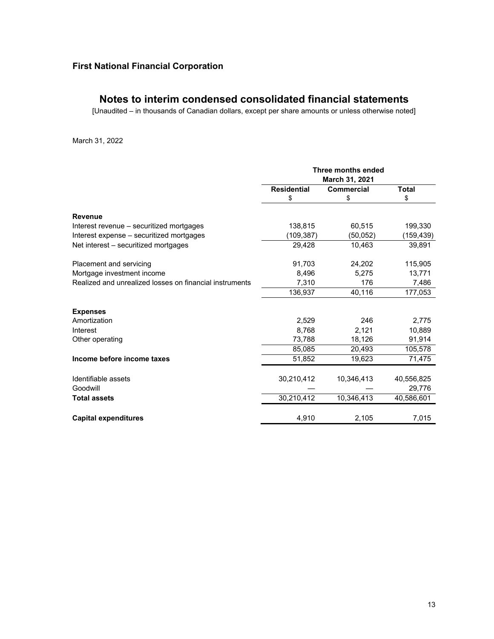## **Notes to interim condensed consolidated financial statements**

[Unaudited – in thousands of Canadian dollars, except per share amounts or unless otherwise noted]

March 31, 2022

|                                                         | Three months ended |                   |              |
|---------------------------------------------------------|--------------------|-------------------|--------------|
|                                                         | March 31, 2021     |                   |              |
|                                                         | <b>Residential</b> | <b>Commercial</b> | <b>Total</b> |
|                                                         | \$                 | \$                | \$           |
| <b>Revenue</b>                                          |                    |                   |              |
| Interest revenue – securitized mortgages                | 138.815            | 60,515            | 199,330      |
| Interest expense – securitized mortgages                | (109,387)          | (50,052)          | (159, 439)   |
| Net interest - securitized mortgages                    | 29,428             | 10,463            | 39,891       |
| Placement and servicing                                 | 91,703             | 24,202            | 115,905      |
| Mortgage investment income                              | 8,496              | 5,275             | 13,771       |
| Realized and unrealized losses on financial instruments | 7,310              | 176               | 7,486        |
|                                                         | 136,937            | 40,116            | 177,053      |
| <b>Expenses</b>                                         |                    |                   |              |
| Amortization                                            | 2,529              | 246               | 2,775        |
| Interest                                                | 8.768              | 2,121             | 10,889       |
| Other operating                                         | 73,788             | 18,126            | 91,914       |
|                                                         | 85,085             | 20,493            | 105,578      |
| Income before income taxes                              | 51,852             | 19,623            | 71,475       |
| Identifiable assets                                     | 30,210,412         | 10,346,413        | 40,556,825   |
| Goodwill                                                |                    |                   | 29,776       |
| <b>Total assets</b>                                     | 30,210,412         | 10,346,413        | 40,586,601   |
| <b>Capital expenditures</b>                             | 4,910              | 2,105             | 7,015        |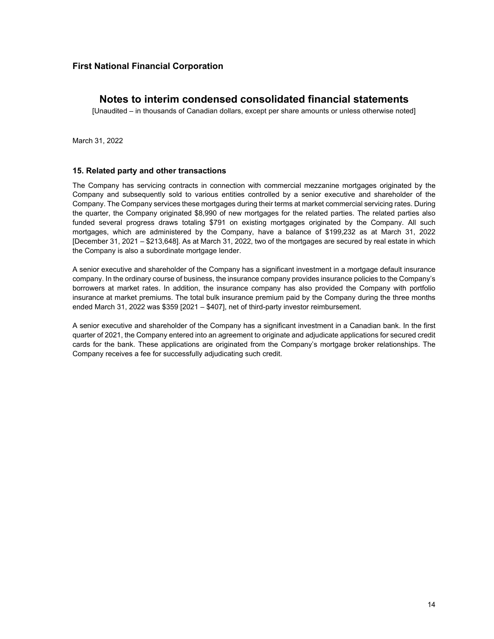## **Notes to interim condensed consolidated financial statements**

[Unaudited – in thousands of Canadian dollars, except per share amounts or unless otherwise noted]

March 31, 2022

#### **15. Related party and other transactions**

The Company has servicing contracts in connection with commercial mezzanine mortgages originated by the Company and subsequently sold to various entities controlled by a senior executive and shareholder of the Company. The Company services these mortgages during their terms at market commercial servicing rates. During the quarter, the Company originated \$8,990 of new mortgages for the related parties. The related parties also funded several progress draws totaling \$791 on existing mortgages originated by the Company. All such mortgages, which are administered by the Company, have a balance of \$199,232 as at March 31, 2022 [December 31, 2021 – \$213,648]. As at March 31, 2022, two of the mortgages are secured by real estate in which the Company is also a subordinate mortgage lender.

A senior executive and shareholder of the Company has a significant investment in a mortgage default insurance company. In the ordinary course of business, the insurance company provides insurance policies to the Company's borrowers at market rates. In addition, the insurance company has also provided the Company with portfolio insurance at market premiums. The total bulk insurance premium paid by the Company during the three months ended March 31, 2022 was \$359 [2021 – \$407], net of third-party investor reimbursement.

A senior executive and shareholder of the Company has a significant investment in a Canadian bank. In the first quarter of 2021, the Company entered into an agreement to originate and adjudicate applications for secured credit cards for the bank. These applications are originated from the Company's mortgage broker relationships. The Company receives a fee for successfully adjudicating such credit.